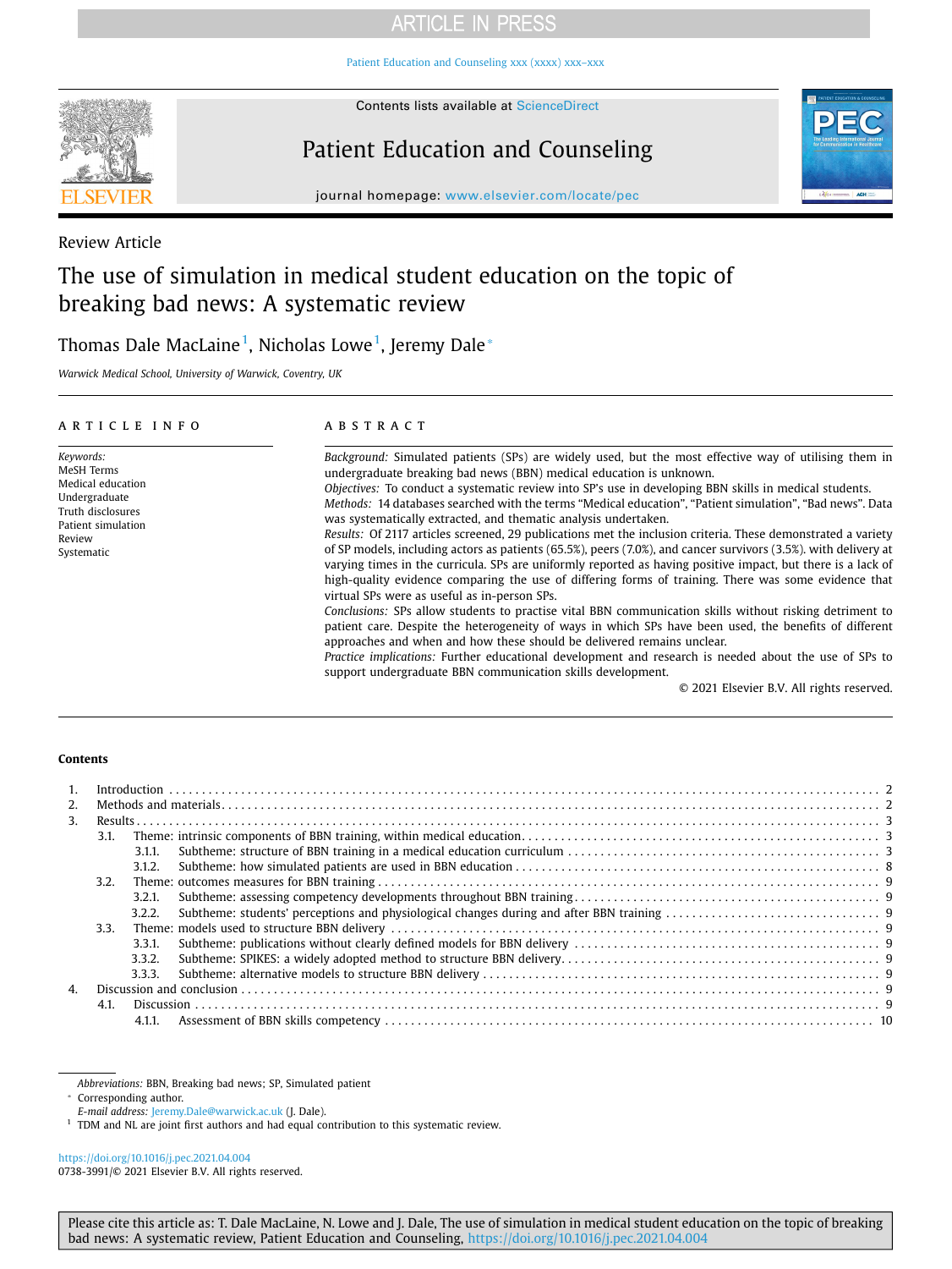Patient Education and Counseling xxx (xxxx) xxx-xxx



Contents lists available at [ScienceDirect](http://www.sciencedirect.com/science/journal/07383991) 

# Patient Education and Counseling



journal homepage: [www.elsevier.com/locate/pec](https://www.elsevier.com/locate/pec)

Review Article

## The use of simulation in medical student education on the topic of breaking bad news: A systematic review

## Thomas Dale MacLaine<sup>[1](#page-0-0)</sup>, Nicholas Lowe<sup>1</sup>, Jeremy Dale $^\ast$

*Warwick Medical School, University of Warwick, Coventry, UK* 

| ARTICLE INFO                                                                                                                     | <b>ABSTRACT</b>                                                                                                                                                                                                                                                                                                                                                                                                                                                                                                                                                                                                                                                                                                                                                                                                                                                                                                                                                                                                                                                                                                                                                                                                                                                                                                                                                                                                                                                                                       |
|----------------------------------------------------------------------------------------------------------------------------------|-------------------------------------------------------------------------------------------------------------------------------------------------------------------------------------------------------------------------------------------------------------------------------------------------------------------------------------------------------------------------------------------------------------------------------------------------------------------------------------------------------------------------------------------------------------------------------------------------------------------------------------------------------------------------------------------------------------------------------------------------------------------------------------------------------------------------------------------------------------------------------------------------------------------------------------------------------------------------------------------------------------------------------------------------------------------------------------------------------------------------------------------------------------------------------------------------------------------------------------------------------------------------------------------------------------------------------------------------------------------------------------------------------------------------------------------------------------------------------------------------------|
| Keywords:<br>MeSH Terms<br>Medical education<br>Undergraduate<br>Truth disclosures<br>Patient simulation<br>Review<br>Systematic | Background: Simulated patients (SPs) are widely used, but the most effective way of utilising them in<br>undergraduate breaking bad news (BBN) medical education is unknown.<br>Objectives: To conduct a systematic review into SP's use in developing BBN skills in medical students.<br>Methods: 14 databases searched with the terms "Medical education", "Patient simulation", "Bad news". Data<br>was systematically extracted, and thematic analysis undertaken.<br>Results: Of 2117 articles screened, 29 publications met the inclusion criteria. These demonstrated a variety<br>of SP models, including actors as patients (65.5%), peers (7.0%), and cancer survivors (3.5%). with delivery at<br>varying times in the curricula. SPs are uniformly reported as having positive impact, but there is a lack of<br>high-quality evidence comparing the use of differing forms of training. There was some evidence that<br>virtual SPs were as useful as in-person SPs.<br>Conclusions: SPs allow students to practise vital BBN communication skills without risking detriment to<br>patient care. Despite the heterogeneity of ways in which SPs have been used, the benefits of different<br>approaches and when and how these should be delivered remains unclear.<br>Practice implications: Further educational development and research is needed about the use of SPs to<br>support undergraduate BBN communication skills development.<br>© 2021 Elsevier B.V. All rights reserved. |

#### **Contents**

| 3 <sub>1</sub> |      |        |  |  |  |  |  |  |  |  |
|----------------|------|--------|--|--|--|--|--|--|--|--|
|                | 3.1. |        |  |  |  |  |  |  |  |  |
|                |      | 3.1.1. |  |  |  |  |  |  |  |  |
|                |      | 3.1.2. |  |  |  |  |  |  |  |  |
|                | 3.2. |        |  |  |  |  |  |  |  |  |
|                |      | 3.2.1. |  |  |  |  |  |  |  |  |
|                |      | 3.2.2. |  |  |  |  |  |  |  |  |
|                | 3.3. |        |  |  |  |  |  |  |  |  |
|                |      | 3.3.1. |  |  |  |  |  |  |  |  |
|                |      | 3.3.2. |  |  |  |  |  |  |  |  |
|                |      | 3.3.3. |  |  |  |  |  |  |  |  |
| $\mathbf{A}$   |      |        |  |  |  |  |  |  |  |  |
|                | 4.1. |        |  |  |  |  |  |  |  |  |
|                |      | 4.1.1. |  |  |  |  |  |  |  |  |

*Abbreviations:* BBN, Breaking bad news; SP, Simulated patient

<span id="page-0-1"></span>⁎ Corresponding author.

<span id="page-0-0"></span>

*E-mail address: [Jeremy.Dale@warwick.ac.uk](mailto:Jeremy.Dale@warwick.ac.uk)* (J. Dale).<br><sup>1</sup> TDM and NL are joint first authors and had equal contribution to this systematic review.

<https://doi.org/10.1016/j.pec.2021.04.004> 0738-3991/© 2021 Elsevier B.V. All rights reserved.

Please cite this article as: T. Dale MacLaine, N. Lowe and J. Dale, The use of simulation in medical student education on the topic of breaking bad news: A systematic review, Patient Education and Counseling, <https://doi.org/10.1016/j.pec.2021.04.004>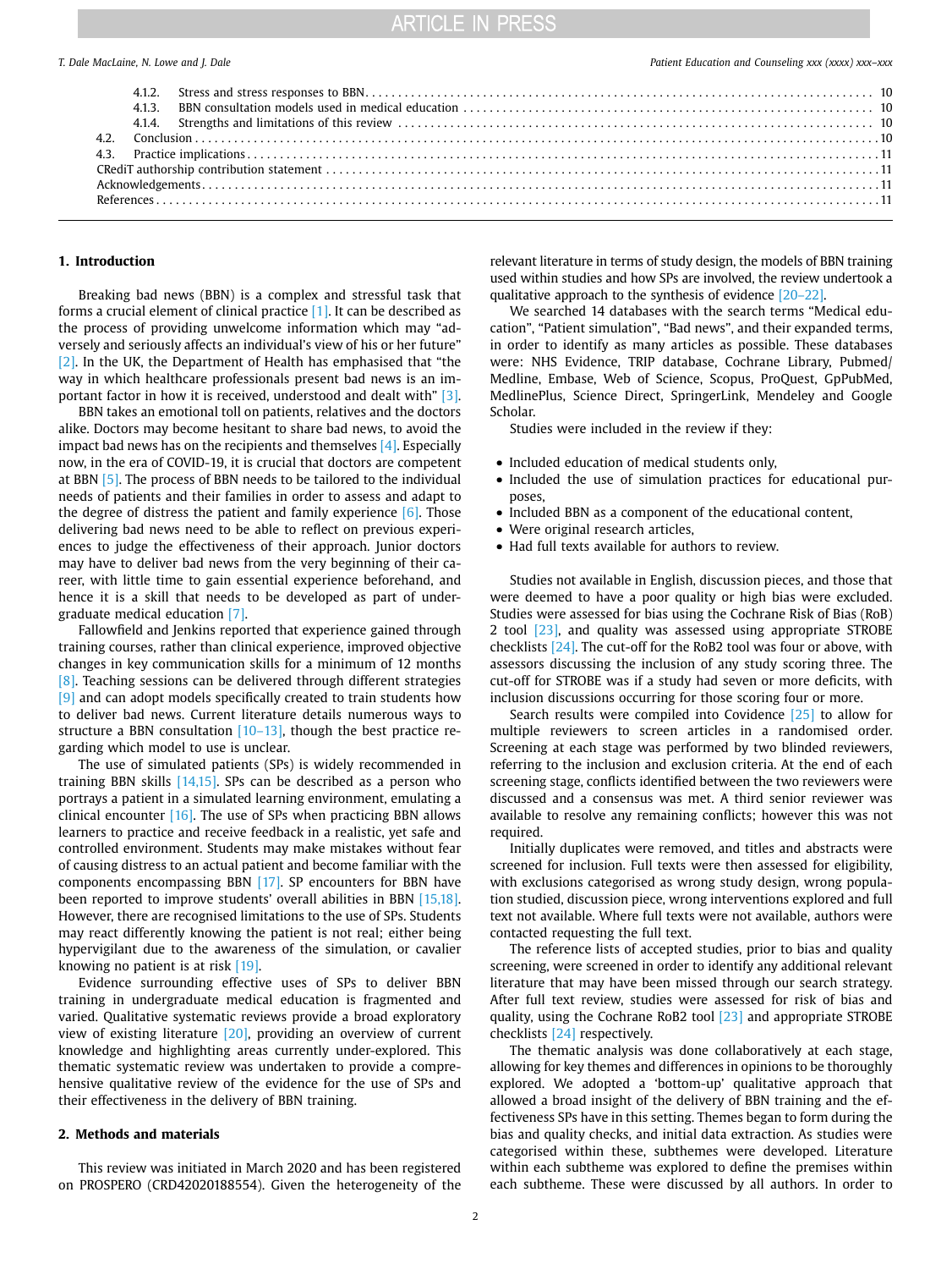|  |  | T. Dale MacLaine, N. Lowe and J. Dale |  |  |  |  |  |
|--|--|---------------------------------------|--|--|--|--|--|
|--|--|---------------------------------------|--|--|--|--|--|

#### **1. Introduction**

Breaking bad news (BBN) is a complex and stressful task that forms a crucial element of clinical practice [\[1\]](#page-10-0). It can be described as the process of providing unwelcome information which may "adversely and seriously affects an individual's view of his or her future" [\[2\]](#page-10-1). In the UK, the Department of Health has emphasised that "the way in which healthcare professionals present bad news is an important factor in how it is received, understood and dealt with" [\[3\].](#page-10-2)

BBN takes an emotional toll on patients, relatives and the doctors alike. Doctors may become hesitant to share bad news, to avoid the impact bad news has on the recipients and themselves [\[4\]](#page-10-3). Especially now, in the era of COVID-19, it is crucial that doctors are competent at BBN [\[5\]](#page-10-4). The process of BBN needs to be tailored to the individual needs of patients and their families in order to assess and adapt to the degree of distress the patient and family experience  $[6]$ . Those delivering bad news need to be able to reflect on previous experiences to judge the effectiveness of their approach. Junior doctors may have to deliver bad news from the very beginning of their career, with little time to gain essential experience beforehand, and hence it is a skill that needs to be developed as part of undergraduate medical education [\[7\]](#page-10-6).

Fallowfield and Jenkins reported that experience gained through training courses, rather than clinical experience, improved objective changes in key communication skills for a minimum of 12 months [\[8\]](#page-10-7). Teaching sessions can be delivered through different strategies [\[9\]](#page-10-8) and can adopt models specifically created to train students how to deliver bad news. Current literature details numerous ways to structure a BBN consultation [\[10–13\],](#page-10-9) though the best practice regarding which model to use is unclear.

The use of simulated patients (SPs) is widely recommended in training BBN skills  $[14,15]$ . SPs can be described as a person who portrays a patient in a simulated learning environment, emulating a clinical encounter  $[16]$ . The use of SPs when practicing BBN allows learners to practice and receive feedback in a realistic, yet safe and controlled environment. Students may make mistakes without fear of causing distress to an actual patient and become familiar with the components encompassing BBN [\[17\]](#page-10-12). SP encounters for BBN have been reported to improve students' overall abilities in BBN [\[15,18\].](#page-10-13) However, there are recognised limitations to the use of SPs. Students may react differently knowing the patient is not real; either being hypervigilant due to the awareness of the simulation, or cavalier knowing no patient is at risk [\[19\].](#page-10-14)

Evidence surrounding effective uses of SPs to deliver BBN training in undergraduate medical education is fragmented and varied. Qualitative systematic reviews provide a broad exploratory view of existing literature [\[20\]](#page-10-15), providing an overview of current knowledge and highlighting areas currently under-explored. This thematic systematic review was undertaken to provide a comprehensive qualitative review of the evidence for the use of SPs and their effectiveness in the delivery of BBN training.

### **2. Methods and materials**

This review was initiated in March 2020 and has been registered on PROSPERO (CRD42020188554). Given the heterogeneity of the

relevant literature in terms of study design, the models of BBN training used within studies and how SPs are involved, the review undertook a qualitative approach to the synthesis of evidence [\[20–22\]](#page-10-15).

We searched 14 databases with the search terms "Medical education", "Patient simulation", "Bad news", and their expanded terms, in order to identify as many articles as possible. These databases were: NHS Evidence, TRIP database, Cochrane Library, Pubmed/ Medline, Embase, Web of Science, Scopus, ProQuest, GpPubMed, MedlinePlus, Science Direct, SpringerLink, Mendeley and Google Scholar.

Studies were included in the review if they:

- Included education of medical students only,
- Included the use of simulation practices for educational purposes,
- Included BBN as a component of the educational content,
- Were original research articles,
- Had full texts available for authors to review.

Studies not available in English, discussion pieces, and those that were deemed to have a poor quality or high bias were excluded. Studies were assessed for bias using the Cochrane Risk of Bias (RoB) 2 tool [\[23\]](#page-10-16), and quality was assessed using appropriate STROBE checklists [\[24\].](#page-10-17) The cut-off for the RoB2 tool was four or above, with assessors discussing the inclusion of any study scoring three. The cut-off for STROBE was if a study had seven or more deficits, with inclusion discussions occurring for those scoring four or more.

Search results were compiled into Covidence [\[25\]](#page-10-18) to allow for multiple reviewers to screen articles in a randomised order. Screening at each stage was performed by two blinded reviewers, referring to the inclusion and exclusion criteria. At the end of each screening stage, conflicts identified between the two reviewers were discussed and a consensus was met. A third senior reviewer was available to resolve any remaining conflicts; however this was not required.

Initially duplicates were removed, and titles and abstracts were screened for inclusion. Full texts were then assessed for eligibility, with exclusions categorised as wrong study design, wrong population studied, discussion piece, wrong interventions explored and full text not available. Where full texts were not available, authors were contacted requesting the full text.

The reference lists of accepted studies, prior to bias and quality screening, were screened in order to identify any additional relevant literature that may have been missed through our search strategy. After full text review, studies were assessed for risk of bias and quality, using the Cochrane RoB2 tool [\[23\]](#page-10-16) and appropriate STROBE checklists [\[24\]](#page-10-17) respectively.

The thematic analysis was done collaboratively at each stage, allowing for key themes and differences in opinions to be thoroughly explored. We adopted a 'bottom-up' qualitative approach that allowed a broad insight of the delivery of BBN training and the effectiveness SPs have in this setting. Themes began to form during the bias and quality checks, and initial data extraction. As studies were categorised within these, subthemes were developed. Literature within each subtheme was explored to define the premises within each subtheme. These were discussed by all authors. In order to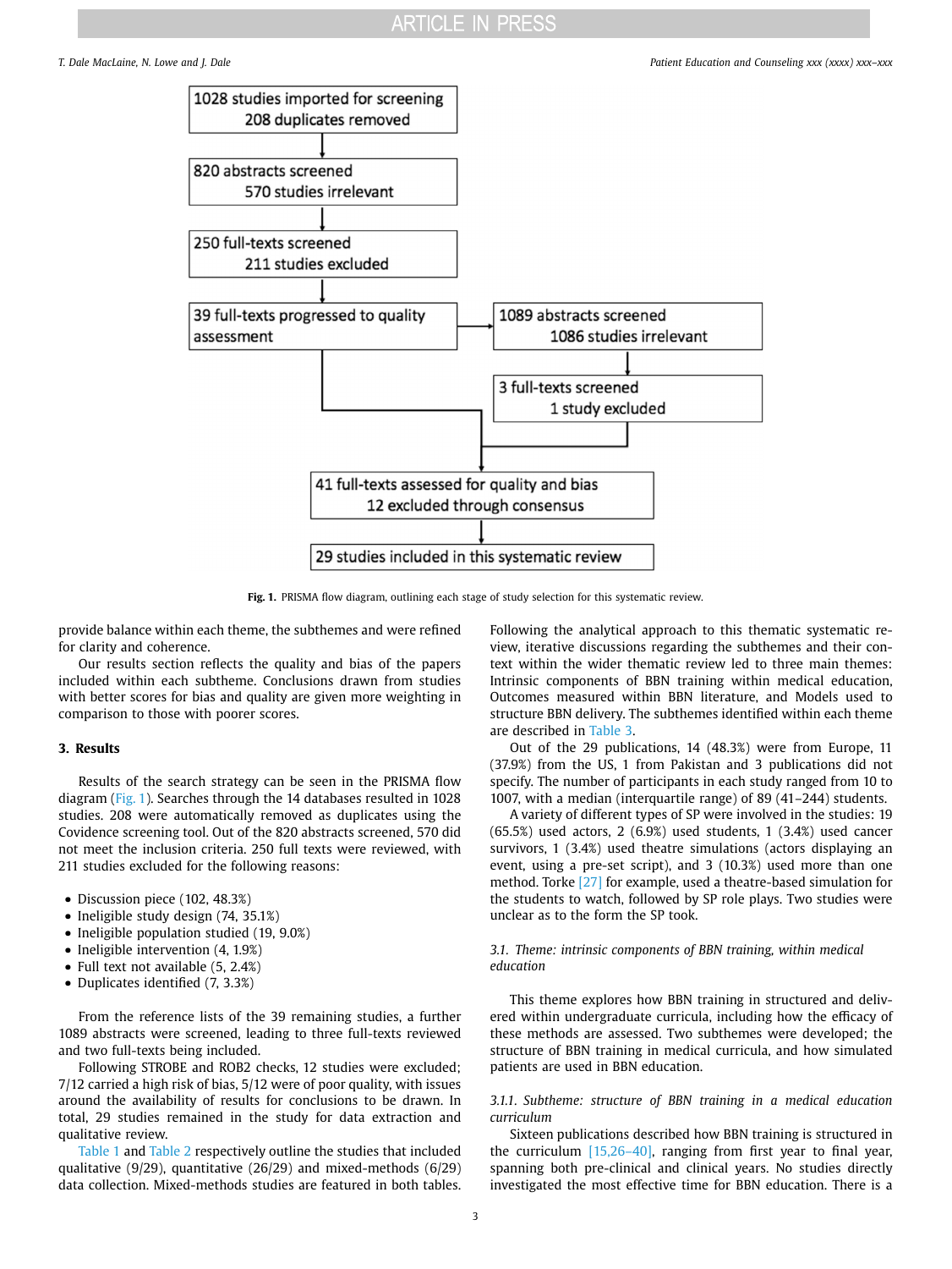<span id="page-2-0"></span>

Fig. 1. PRISMA flow diagram, outlining each stage of study selection for this systematic review.

provide balance within each theme, the subthemes and were refined for clarity and coherence.

Our results section reflects the quality and bias of the papers included within each subtheme. Conclusions drawn from studies with better scores for bias and quality are given more weighting in comparison to those with poorer scores.

#### **3. Results**

Results of the search strategy can be seen in the PRISMA flow diagram [\(Fig. 1](#page-2-0)). Searches through the 14 databases resulted in 1028 studies. 208 were automatically removed as duplicates using the Covidence screening tool. Out of the 820 abstracts screened, 570 did not meet the inclusion criteria. 250 full texts were reviewed, with 211 studies excluded for the following reasons:

- Discussion piece (102, 48.3%)
- Ineligible study design (74, 35.1%)
- Ineligible population studied (19, 9.0%)
- Ineligible intervention  $(4, 1.9%)$
- Full text not available  $(5, 2.4%)$
- Duplicates identified (7, 3.3%)

From the reference lists of the 39 remaining studies, a further 1089 abstracts were screened, leading to three full-texts reviewed and two full-texts being included.

Following STROBE and ROB2 checks, 12 studies were excluded; 7/12 carried a high risk of bias, 5/12 were of poor quality, with issues around the availability of results for conclusions to be drawn. In total, 29 studies remained in the study for data extraction and qualitative review.

[Table 1](#page-3-0) and [Table 2](#page-6-0) respectively outline the studies that included qualitative (9/29), quantitative (26/29) and mixed-methods (6/29) data collection. Mixed-methods studies are featured in both tables.

Following the analytical approach to this thematic systematic review, iterative discussions regarding the subthemes and their context within the wider thematic review led to three main themes: Intrinsic components of BBN training within medical education, Outcomes measured within BBN literature, and Models used to structure BBN delivery. The subthemes identified within each theme are described in [Table 3.](#page-7-0)

Out of the 29 publications, 14 (48.3%) were from Europe, 11 (37.9%) from the US, 1 from Pakistan and 3 publications did not specify. The number of participants in each study ranged from 10 to 1007, with a median (interquartile range) of 89 (41–244) students.

A variety of different types of SP were involved in the studies: 19 (65.5%) used actors, 2 (6.9%) used students, 1 (3.4%) used cancer survivors, 1 (3.4%) used theatre simulations (actors displaying an event, using a pre-set script), and 3 (10.3%) used more than one method. Torke [\[27\]](#page-10-19) for example, used a theatre-based simulation for the students to watch, followed by SP role plays. Two studies were unclear as to the form the SP took.

#### *3.1. Theme: intrinsic components of BBN training, within medical education*

This theme explores how BBN training in structured and delivered within undergraduate curricula, including how the efficacy of these methods are assessed. Two subthemes were developed; the structure of BBN training in medical curricula, and how simulated patients are used in BBN education.

### *3.1.1. Subtheme: structure of BBN training in a medical education curriculum*

Sixteen publications described how BBN training is structured in the curriculum [\[15,26–40\]](#page-10-13), ranging from first year to final year, spanning both pre-clinical and clinical years. No studies directly investigated the most effective time for BBN education. There is a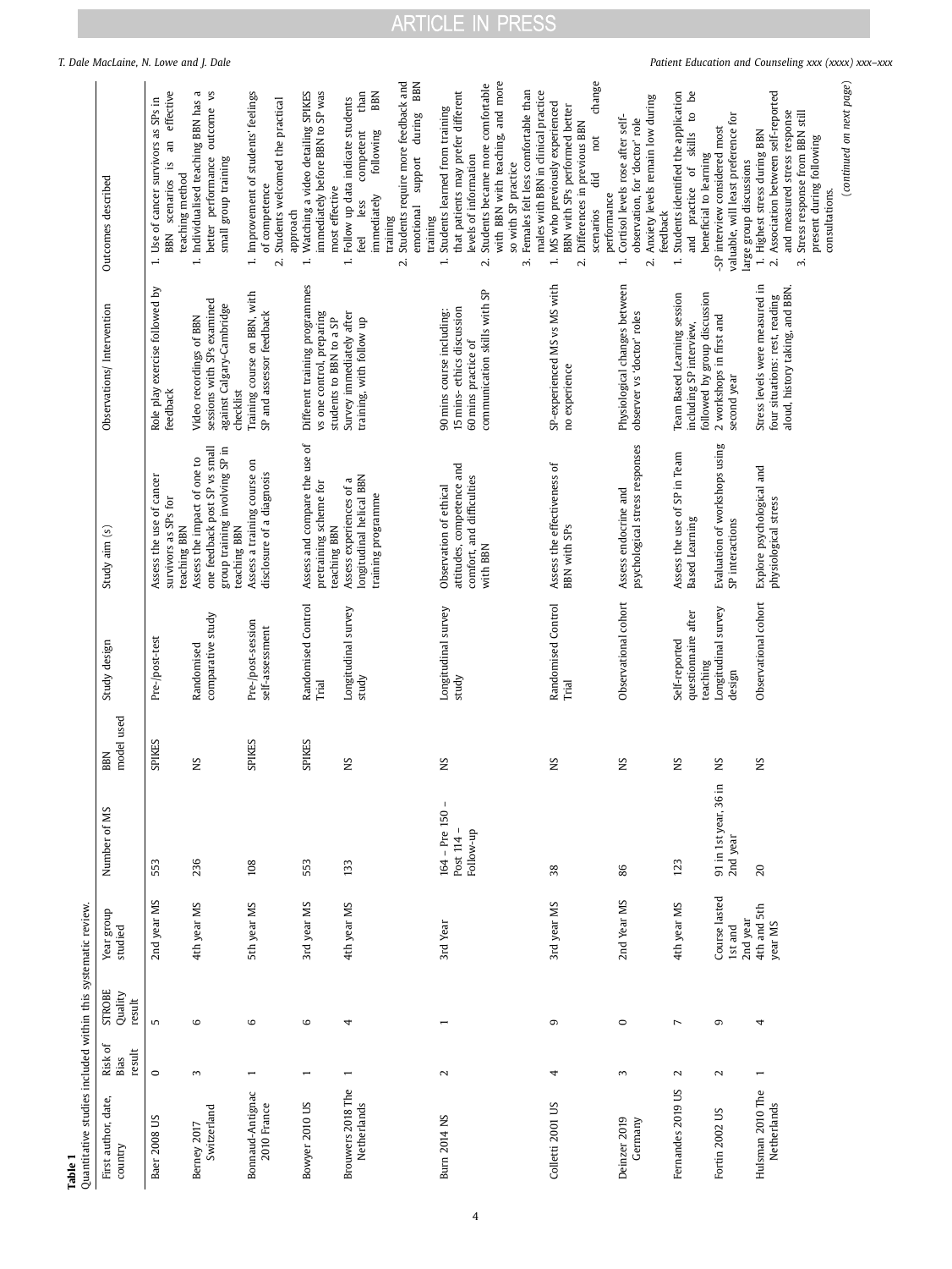**Table 1**  Quantitative studies included within this systematic revie

<span id="page-3-0"></span>

| Quantitative studies included within this systematic review. |                           |                                    |                                      |                                                  |                   |                                                  |                                                                                                                |                                                                                                     |                                                                                                                                                                                                                      |
|--------------------------------------------------------------|---------------------------|------------------------------------|--------------------------------------|--------------------------------------------------|-------------------|--------------------------------------------------|----------------------------------------------------------------------------------------------------------------|-----------------------------------------------------------------------------------------------------|----------------------------------------------------------------------------------------------------------------------------------------------------------------------------------------------------------------------|
| First author, date,<br>country                               | Risk of<br>result<br>Bias | <b>STROBE</b><br>Quality<br>result | Year group<br>studied                | Number of MS                                     | model used<br>BBN | Study design                                     | Study aim (s)                                                                                                  | Observations/Intervention                                                                           | Outcomes described                                                                                                                                                                                                   |
| Baer 2008 US                                                 | $\circ$                   | S                                  | 2nd year MS                          | 553                                              | SPIKES            | Pre-/post-test                                   | Assess the use of cancer<br>survivors as SPs for<br>teaching BBN                                               | Role play exercise followed by<br>feedback                                                          | an effective<br>Use of cancer survivors as SPs in<br>$\frac{1}{2}$<br>teaching method<br>scenarios<br>BBN<br>$\div$                                                                                                  |
| Switzerland<br>Berney 2017                                   | $\sim$                    | $\mathbf \omega$                   | 4th year MS                          | 236                                              | S                 | comparative study<br>Randomised                  | one feedback post SP vs small<br>group training involving SP in<br>Assess the impact of one to<br>teaching BBN | sessions with SPs examined<br>against Calgary-Cambridge<br>Video recordings of BBN<br>checklist     | Individualised teaching BBN has a<br>better performance outcome vs<br>small group training<br>$\div$                                                                                                                 |
| Bonnaud-Antignac<br>2010 France                              |                           | 6                                  | 5th year MS                          | 108                                              | SPIKES            | Pre-/post-session<br>self-assessment             | Assess a training course on<br>disclosure of a diagnosis                                                       | Training course on BBN, with<br>SP and assessor feedback                                            | 1. Improvement of students' feelings<br>Students welcomed the practical<br>of competence<br>approach<br>$\mathbf{v}$                                                                                                 |
| Bowyer 2010 US                                               | $\overline{ }$            | 6                                  | 3rd year MS                          | 553                                              | SPIKES            | Randomised Control<br><b>Trial</b>               | Assess and compare the use of<br>pretraining scheme for<br>teaching BBN                                        | Different training programmes<br>vs one control, preparing<br>students to BBN to a SP               | Watching a video detailing SPIKES<br>immediately before BBN to SP was<br>most effective<br>$\div$                                                                                                                    |
| Brouwers 2018 The<br>Netherlands                             | $\overline{ }$            | 4                                  | 4th year MS                          | 133                                              | SN                | Longitudinal survey<br>study                     | longitudinal helical BBN<br>Assess experiences of a<br>training programme                                      | Survey immediately after<br>training, with follow up                                                | Students require more feedback and<br>than<br>BBN<br>Follow up data indicate students<br>competent<br>following<br>immediately<br>less<br>training<br>feel<br>$\div$<br>$\mathbf{C}$                                 |
| <b>Burn 2014 NS</b>                                          | $\mathbf{\mathcal{L}}$    |                                    | 3rd Year                             | $\mathbf{I}$<br>$164 - Pre 150$                  | SK                | Longitudinal survey                              | Observation of ethical                                                                                         | 90 mins course including:                                                                           | BBN<br>Students learned from training<br>support during<br>emotional<br>training<br>$\div$                                                                                                                           |
|                                                              |                           |                                    |                                      | Post 114 -<br>Follow-up                          |                   | study                                            | attitudes, competence and<br>comfort, and difficulties<br>with BBN                                             | communication skills with SP<br>15 mins-ethics discussion<br>60 mins practice of                    | with BBN with teaching, and more<br>Students became more comfortable<br>that patients may prefer different<br>Females felt less comfortable than<br>levels of information<br>so with SP practice<br>$\sim$<br>$\sim$ |
| Colletti 2001 US                                             | 4                         | G                                  | 3rd year MS                          | 38                                               | SN                | Randomised Control<br>Trial                      | Assess the effectiveness of<br>BBN with SPs                                                                    | SP-experienced MS vs MS with<br>no experience                                                       | change<br>males with BBN in clinical practice<br>MS who previously experienced<br>BBN with SPs performed better<br>Differences in previous BBN<br>not<br>ਰੋ<br>performance<br>scenarios<br>$\div$<br>$\mathbf{v}$    |
| Deinzer 2019<br>Germany                                      | 3                         | $\circ$                            | 2nd Year MS                          | 86                                               | SN                | Observational cohort                             | psychological stress responses<br>Assess endocrine and                                                         | Physiological changes between<br>observer vs 'doctor' roles                                         | Anxiety levels remain low during<br>Cortisol levels rose after self-<br>observation, for 'doctor' role<br>feedback<br>$\div$<br>$\mathbf{a}$                                                                         |
| Fernandes 2019 US                                            | $\mathbf{\sim}$           | $\overline{ }$                     | 4th year MS                          | 123                                              | SN                | questionnaire after<br>Self-reported<br>teaching | Assess the use of SP in Team<br>Based Learning                                                                 | followed by group discussion<br>Team Based Learning session<br>including SP interview,              | Students identified the application<br>Ъe<br>skills to<br>beneficial to learning<br>practice of<br>and<br>$\div$                                                                                                     |
| Fortin 2002 US                                               | $\sim$                    | G                                  | Course lasted<br>2nd year<br>1st and | $\blacksquare$<br>91 in 1st year, 36<br>2nd year | SN                | Longitudinal survey<br>design                    | Evaluation of workshops using<br>SP interactions                                                               | 2 workshops in first and<br>second year                                                             | valuable, will least preference for<br>-SP interview considered most<br>large group discussions                                                                                                                      |
| Hulsman 2010 The<br>Netherlands                              | $\overline{ }$            | 4                                  | 4th and 5th<br>year MS               | 20                                               | SN                | Observational cohort                             | Explore psychological and<br>physiological stress                                                              | Stress levels were measured in<br>aloud, history taking, and BBN.<br>four situations: rest, reading | Association between self-reported<br>and measured stress response<br>Stress response from BBN still<br>1. Highest stress during BBN<br>present during following<br>consultations.<br>$\sim$<br>$\vec{3}$             |
|                                                              |                           |                                    |                                      |                                                  |                   |                                                  |                                                                                                                |                                                                                                     | (continued on next page)                                                                                                                                                                                             |

# ARTICLE IN PRESS

*T. Dale MacLaine, N. Lowe and J. Dale Patient Education and Counseling xxx (xxxx) xxx–xxx*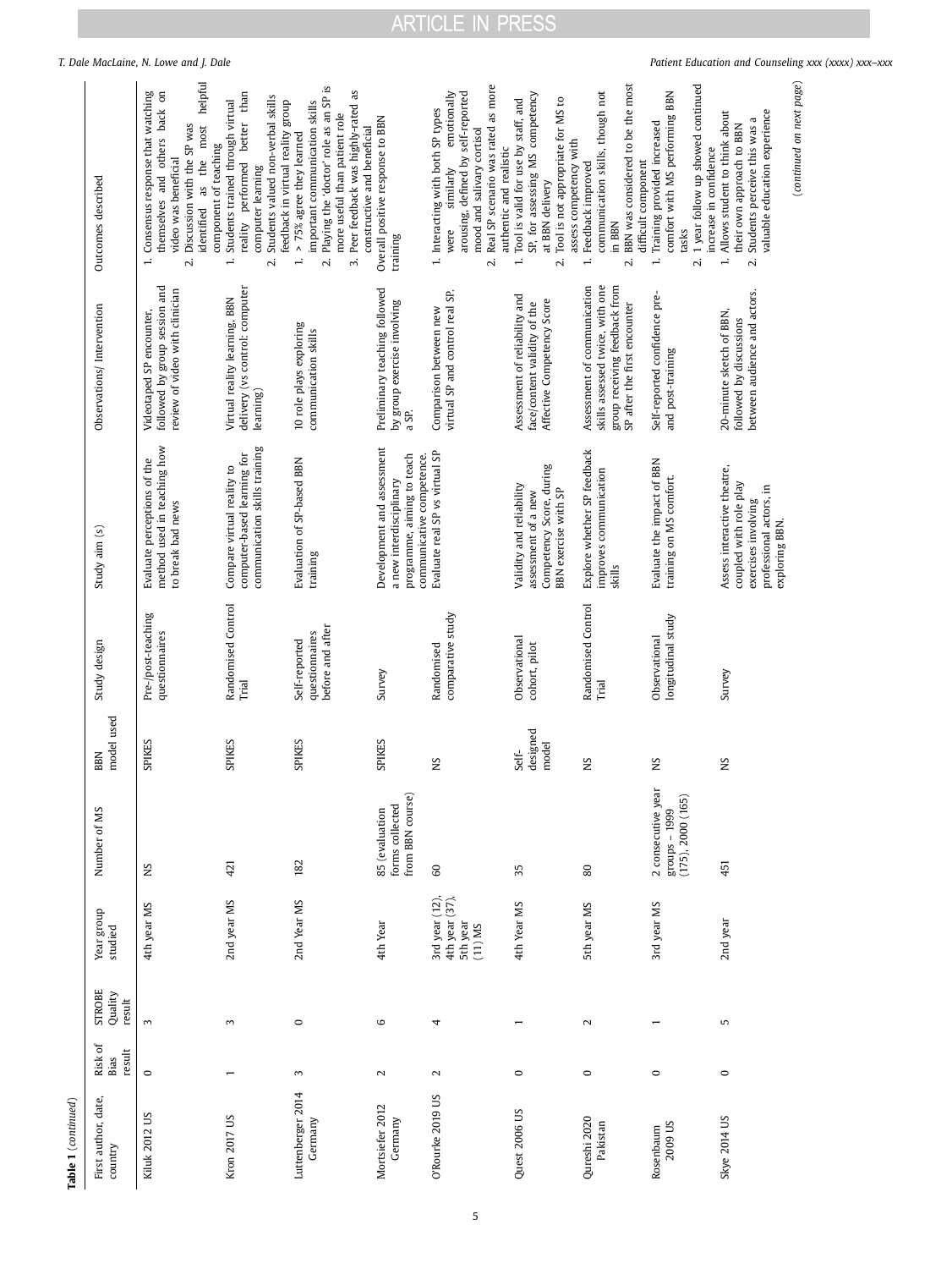| ı, |
|----|
|    |
|    |

|                            |                                    | T. Dale MacLaine, N. Lowe and J. Dale                                                                                                                                                                                        |                                                                                                                                                                                                                       |                                                                                                                                                                                                                                              |                                                                                                                  |                                                                                                                                                                                                                      |                                                                                                                                                                                                      |                                                                                                                                                       |                                                                                                                                                                             | Patient Education and Counseling xxx (xxxx) xxx-xxx                                                                                                                                               |
|----------------------------|------------------------------------|------------------------------------------------------------------------------------------------------------------------------------------------------------------------------------------------------------------------------|-----------------------------------------------------------------------------------------------------------------------------------------------------------------------------------------------------------------------|----------------------------------------------------------------------------------------------------------------------------------------------------------------------------------------------------------------------------------------------|------------------------------------------------------------------------------------------------------------------|----------------------------------------------------------------------------------------------------------------------------------------------------------------------------------------------------------------------|------------------------------------------------------------------------------------------------------------------------------------------------------------------------------------------------------|-------------------------------------------------------------------------------------------------------------------------------------------------------|-----------------------------------------------------------------------------------------------------------------------------------------------------------------------------|---------------------------------------------------------------------------------------------------------------------------------------------------------------------------------------------------|
|                            | Outcomes described                 | helpful<br>themselves and others back on<br>Consensus response that watching<br>most<br>Discussion with the SP was<br>component of teaching<br>the<br>video was beneficial<br>as<br>identified<br>$\ddot{ }$<br>$\mathbf{v}$ | than<br>Students valued non-verbal skills<br>Students trained through virtual<br>feedback in virtual reality group<br>better<br>performed<br>computer learning<br>reality<br>$\overline{\phantom{a}}$<br>$\mathbf{v}$ | Playing the 'doctor' role as an SP is<br>as<br>important communication skills<br>Peer feedback was highly-rated<br>more useful than patient role<br>constructive and beneficial<br>> 75% agree they learned<br>$\vec{m}$<br>$\div$<br>$\sim$ | Overall positive response to BBN<br>training                                                                     | Real SP scenario was rated as more<br>arousing, defined by self-reported<br>emotionally<br>1. Interacting with both SP types<br>mood and salivary cortisol<br>authentic and realistic<br>similarly<br>were<br>$\sim$ | SP, for assessing MS competency<br>Tool is valid for use by staff, and<br>Tool is not appropriate for MS to<br>assess competency with<br>at BBN delivery<br>$\overline{\phantom{a}}$<br>$\mathbf{v}$ | BBN was considered to be the most<br>communication skills, though not<br>difficult component<br>Feedback improved<br>in BBN<br>$\div$<br>$\mathbf{N}$ | 1 year follow up showed continued<br>comfort with MS performing BBN<br>Training provided increased<br>increase in confidence<br>tasks<br>$\overline{\phantom{a}}$<br>$\sim$ | (continued on next page)<br>valuable education experience<br>Allows student to think about<br>their own approach to BBN<br>Students perceive this was<br>$\overline{\phantom{a}}$<br>$\mathbf{N}$ |
|                            | Observations/Intervention          | followed by group session and<br>review of video with clinician<br>Videotaped SP encounter,                                                                                                                                  | delivery (vs control: computer<br>Virtual reality learning, BBN<br>learning)                                                                                                                                          | 10 role plays exploring<br>communication skills                                                                                                                                                                                              | Preliminary teaching followed<br>by group exercise involving<br>a SP.                                            | virtual SP and control real SP.<br>Comparison between new                                                                                                                                                            | Assessment of reliability and<br>Affective Competency Score<br>face/content validity of the                                                                                                          | skills assessed twice, with one<br>Assessment of communication<br>group receiving feedback from<br>SP after the first encounter                       | Self-reported confidence pre-<br>and post-training                                                                                                                          | between audience and actors.<br>20-minute sketch of BBN,<br>followed by discussions                                                                                                               |
|                            | Study aim (s)                      | method used in teaching how<br>Evaluate perceptions of the<br>to break bad news                                                                                                                                              | communication skills training<br>computer-based learning for<br>Compare virtual reality to                                                                                                                            | Evaluation of SP-based BBN<br>training                                                                                                                                                                                                       | Development and assessment<br>programme, aiming to teach<br>communicative competence.<br>a new interdisciplinary | Evaluate real SP vs virtual SP                                                                                                                                                                                       | Competency Score, during<br>Validity and reliability<br>BBN exercise with SP<br>assessment of a new                                                                                                  | Explore whether SP feedback<br>improves communication<br>skills                                                                                       | Evaluate the impact of BBN<br>training on MS comfort.                                                                                                                       | Assess interactive theatre,<br>coupled with role play<br>professional actors, in<br>exercises involving<br>exploring BBN.                                                                         |
|                            | Study design                       | Pre-/post-teaching<br>questionnaires                                                                                                                                                                                         | Randomised Control<br>Trial                                                                                                                                                                                           | before and after<br>questionnaires<br>Self-reported                                                                                                                                                                                          | Survey                                                                                                           | comparative study<br>Randomised                                                                                                                                                                                      | Observational<br>cohort, pilot                                                                                                                                                                       | Randomised Control<br>$\rm{Trial}$                                                                                                                    | longitudinal study<br>Observational                                                                                                                                         | Survey                                                                                                                                                                                            |
|                            | model used<br>BBN                  | <b>SPIKES</b>                                                                                                                                                                                                                | SPIKES                                                                                                                                                                                                                | SPIKES                                                                                                                                                                                                                                       | <b>SPIKES</b>                                                                                                    | S<br>z                                                                                                                                                                                                               | designed<br>model<br>Self-                                                                                                                                                                           | $\sim$<br>z                                                                                                                                           | Š<br>z                                                                                                                                                                      | ς<br>z                                                                                                                                                                                            |
|                            | Number of MS                       | ΣN                                                                                                                                                                                                                           | 421                                                                                                                                                                                                                   | 182                                                                                                                                                                                                                                          | forms collected<br>from BBN course)<br>85 (evaluation                                                            | $\mbox{6}$                                                                                                                                                                                                           | 35                                                                                                                                                                                                   | 80                                                                                                                                                    | 2 consecutive year<br>(175), 2000 (165)<br>groups - 1999                                                                                                                    | 451                                                                                                                                                                                               |
|                            | Year group<br>studied              | 4th year MS                                                                                                                                                                                                                  | 2nd year MS                                                                                                                                                                                                           | 2nd Year MS                                                                                                                                                                                                                                  | 4th Year                                                                                                         | 3rd year (12),<br>$4th$ year $(37)$ ,<br>5th year<br>$(11)$ MS                                                                                                                                                       | 4th Year MS                                                                                                                                                                                          | 5th year MS                                                                                                                                           | 3rd year MS                                                                                                                                                                 | 2nd year                                                                                                                                                                                          |
|                            | <b>STROBE</b><br>Quality<br>result | $\sim$                                                                                                                                                                                                                       | $\sim$                                                                                                                                                                                                                | $\circ$                                                                                                                                                                                                                                      | 6                                                                                                                | 4                                                                                                                                                                                                                    |                                                                                                                                                                                                      | $\mathbf{\sim}$                                                                                                                                       | $\overline{ }$                                                                                                                                                              | 5                                                                                                                                                                                                 |
|                            | Risk of<br>result<br>Bias          | $\circ$                                                                                                                                                                                                                      | $\overline{ }$                                                                                                                                                                                                        | $\sim$                                                                                                                                                                                                                                       | $\sim$                                                                                                           | $\sim$                                                                                                                                                                                                               | $\circ$                                                                                                                                                                                              | $\circ$                                                                                                                                               | $\circ$                                                                                                                                                                     | $\circ$                                                                                                                                                                                           |
| <b>Table 1</b> (continued) | First author, date,<br>country     | Kiluk 2012 US                                                                                                                                                                                                                | Kron 2017 US                                                                                                                                                                                                          | Luttenberger 2014<br>Germany                                                                                                                                                                                                                 | Mortsiefer 2012<br>Germany                                                                                       | O'Rourke 2019 US                                                                                                                                                                                                     | Quest 2006 US                                                                                                                                                                                        | Qureshi 2020<br>Pakistan                                                                                                                              | 2009 US<br>Rosenbaum                                                                                                                                                        | Skye 2014 US                                                                                                                                                                                      |

5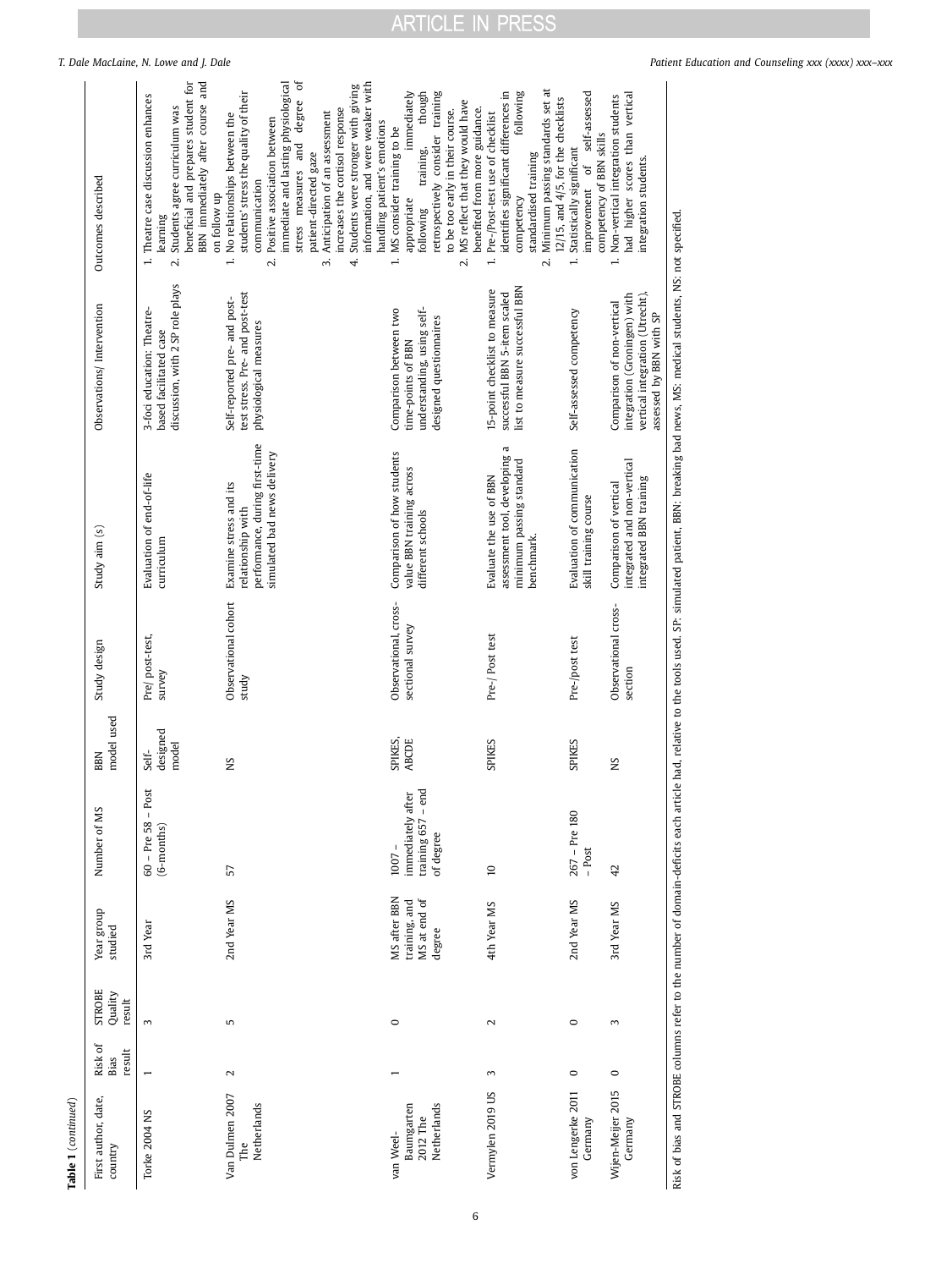|                     |                                    | T. Dale MacLaine, N. Lowe and J. Dale                                                                                                                                                              |                                                                                                                                                                                                                                                                                                                                                                                                                                      |                                                                                                                                                                                                                                                                   |                                                                                                                                                                                                                                                           |                                                                                                                                                        |                                                                                                                          | Patient Education and Counseling xxx (xxxx) xxx-xxx                                                                                                                                                          |
|---------------------|------------------------------------|----------------------------------------------------------------------------------------------------------------------------------------------------------------------------------------------------|--------------------------------------------------------------------------------------------------------------------------------------------------------------------------------------------------------------------------------------------------------------------------------------------------------------------------------------------------------------------------------------------------------------------------------------|-------------------------------------------------------------------------------------------------------------------------------------------------------------------------------------------------------------------------------------------------------------------|-----------------------------------------------------------------------------------------------------------------------------------------------------------------------------------------------------------------------------------------------------------|--------------------------------------------------------------------------------------------------------------------------------------------------------|--------------------------------------------------------------------------------------------------------------------------|--------------------------------------------------------------------------------------------------------------------------------------------------------------------------------------------------------------|
|                     | Outcomes described                 | BBN immediately after course and<br>beneficial and prepares student for<br>Theatre case discussion enhances<br>Students agree curriculum was<br>on follow up<br>learning<br>$\div$<br>$\mathbf{v}$ | ð<br>immediate and lasting physiological<br>information, and were weaker with<br>Students were stronger with giving<br>students' stress the quality of their<br>degree<br>increases the cortisol response<br>Anticipation of an assessment<br>No relationships between the<br>Positive association between<br>stress measures and<br>patient-directed gaze<br>communication<br>$\overline{\phantom{a}}$<br>$\vec{c}$<br>4.<br>$\sim$ | though<br>retrospectively consider training<br>immediately<br>MS reflect that they would have<br>to be too early in their course.<br>handling patient's emotions<br>MS consider training to be<br>training,<br>appropriate<br>following<br>$\div$<br>$\mathbf{N}$ | Minimum passing standards set at<br>identifies significant differences in<br>following<br>benefited from more guidance.<br>Pre-/Post-test use of checklist<br>standardised training<br>competency<br>$\overline{\phantom{a}}$<br>$\overline{\mathcal{N}}$ | self-assessed<br>12/15, and 4/5, for the checklists<br>competency of BBN skills<br>Statistically significant<br><sup>of</sup><br>improvement<br>$\div$ | had higher scores than vertical<br>Non-vertical integration students<br>integration students.<br>$\div$                  |                                                                                                                                                                                                              |
|                     | Observations/Intervention          | discussion, with 2 SP role plays<br>3-foci education: Theatre-<br>based facilitated case                                                                                                           | test stress. Pre- and post-test<br>Self-reported pre- and post-<br>physiological measures                                                                                                                                                                                                                                                                                                                                            | understanding, using self-<br>Comparison between two<br>designed questionnaires<br>time-points of BBN                                                                                                                                                             | list to measure successful BBN<br>15-point checklist to measure<br>successful BBN 5-item scaled                                                                                                                                                           | Self-assessed competency                                                                                                                               | vertical integration (Utrecht),<br>integration (Groningen) with<br>Comparison of non-vertical<br>assessed by BBN with SP | Risk of bias and STROBE columns refer to the number of domain-deficits each article had, relative to the tools used. SP: simulated patient, BBN: breaking bad news, MS: medical students, NS: not specified. |
|                     | Study aim (s)                      | Evaluation of end-of-life<br>curriculum                                                                                                                                                            | performance, during first-time<br>simulated bad news delivery<br>Examine stress and its<br>relationship with                                                                                                                                                                                                                                                                                                                         | Comparison of how students<br>value BBN training across<br>different schools                                                                                                                                                                                      | assessment tool, developing a<br>minimum passing standard<br>Evaluate the use of BBN<br>benchmark.                                                                                                                                                        | Evaluation of communication<br>skill training course                                                                                                   | integrated and non-vertical<br>integrated BBN training<br>Comparison of vertical                                         |                                                                                                                                                                                                              |
|                     | Study design                       | Pre/post-test,<br>survey                                                                                                                                                                           | Observational cohort<br>study                                                                                                                                                                                                                                                                                                                                                                                                        | Observational, cross-<br>sectional survey                                                                                                                                                                                                                         | Pre-/Post test                                                                                                                                                                                                                                            | Pre-/post test                                                                                                                                         | Observational cross-<br>section                                                                                          |                                                                                                                                                                                                              |
|                     | model used<br><b>BBN</b>           | designed<br>model<br>Self-                                                                                                                                                                         | SN                                                                                                                                                                                                                                                                                                                                                                                                                                   | SPIKES,<br><b>ABCDE</b>                                                                                                                                                                                                                                           | <b>SPIKES</b>                                                                                                                                                                                                                                             | <b>SPIKES</b>                                                                                                                                          | ΣN                                                                                                                       |                                                                                                                                                                                                              |
|                     | Number of MS                       | $-$ Post<br>$60$ – Pre 58<br>$(6-months)$                                                                                                                                                          | 57                                                                                                                                                                                                                                                                                                                                                                                                                                   | training 657 - end<br>immediately after<br>of degree<br>$1007 -$                                                                                                                                                                                                  | 5                                                                                                                                                                                                                                                         | $267 - Pre 180$<br>- Post                                                                                                                              | 42                                                                                                                       |                                                                                                                                                                                                              |
|                     | Year group<br>studied              | 3rd Year                                                                                                                                                                                           | 2nd Year MS                                                                                                                                                                                                                                                                                                                                                                                                                          | MS after BBN<br>MS at end of<br>training, and<br>degree                                                                                                                                                                                                           | 4th Year MS                                                                                                                                                                                                                                               | 2nd Year MS                                                                                                                                            | 3rd Year MS                                                                                                              |                                                                                                                                                                                                              |
|                     | <b>STROBE</b><br>Quality<br>result | $\mathbf{c}$                                                                                                                                                                                       | 5                                                                                                                                                                                                                                                                                                                                                                                                                                    | $\circ$                                                                                                                                                                                                                                                           | $\sim$                                                                                                                                                                                                                                                    | $\circ$                                                                                                                                                | 3                                                                                                                        |                                                                                                                                                                                                              |
|                     | Risk of<br>Bias<br>result          | $\overline{\phantom{0}}$                                                                                                                                                                           | $\mathbf{\sim}$                                                                                                                                                                                                                                                                                                                                                                                                                      | $\overline{ }$                                                                                                                                                                                                                                                    | $\sim$                                                                                                                                                                                                                                                    | $\circ$                                                                                                                                                | $\circ$                                                                                                                  |                                                                                                                                                                                                              |
| Table 1 (continued) | First author, date,<br>country     | Torke 2004 NS                                                                                                                                                                                      | Van Dulmen 2007<br>Netherlands<br>The                                                                                                                                                                                                                                                                                                                                                                                                | Netherlands<br>Baumgarten<br>2012 The<br>van Weel-                                                                                                                                                                                                                | Vermylen 2019 US                                                                                                                                                                                                                                          | von Lengerke 2011<br>Germany                                                                                                                           | Wijen-Meijer 2015<br>Germany                                                                                             |                                                                                                                                                                                                              |

6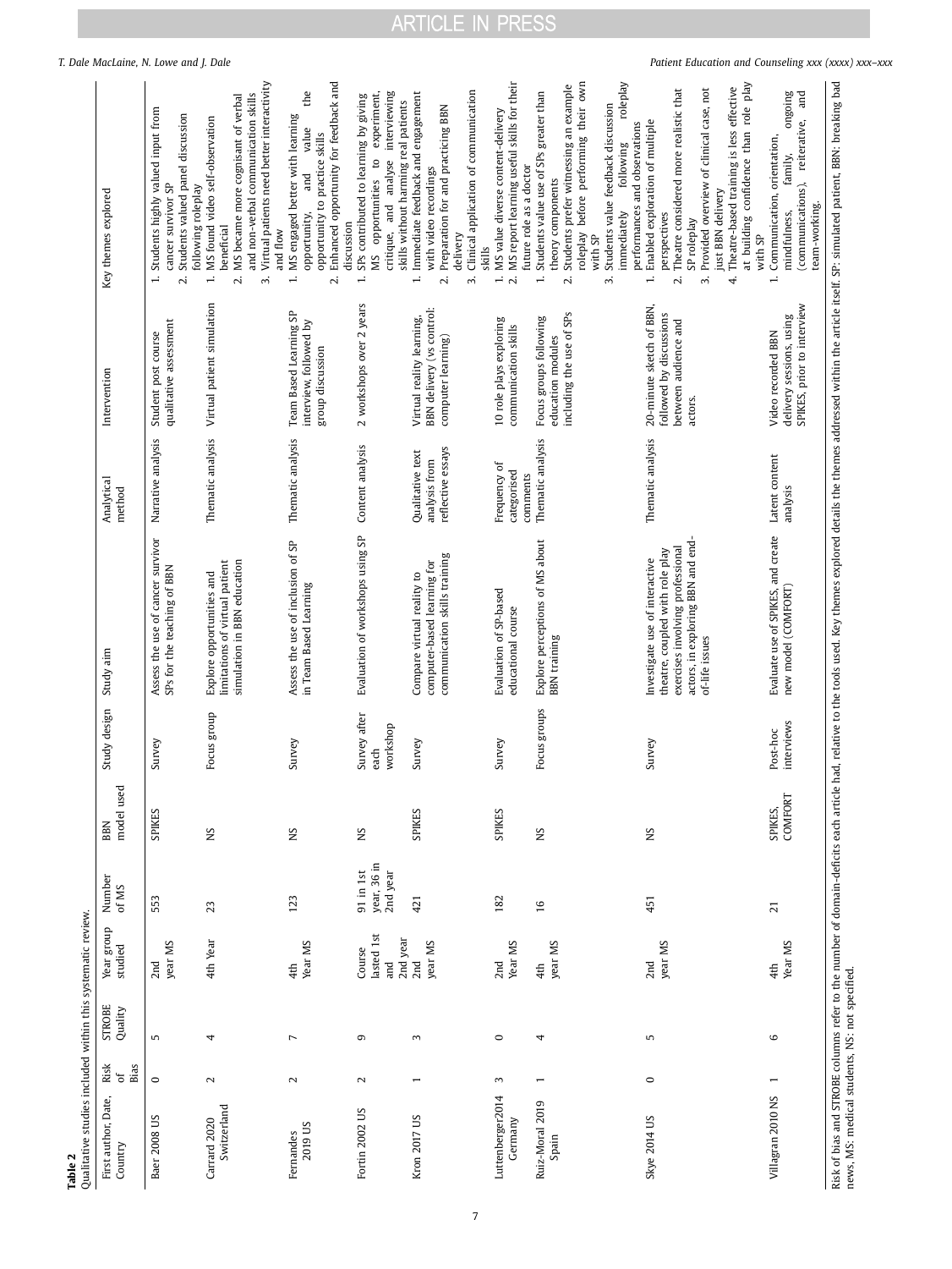<span id="page-6-0"></span>

|                                                                        |                                | T. Dale MacLaine, N. Lowe and J. Dale                                                                                                       |                                                                                                                                                                                                                                         | the                                                                                                                                                                                                              |                                                                                                                                                                                  |                                                                                                                                                                                                          |                                                                                                                                                            | roleplay                                                                                                                                                                                                                                                      | Patient Education and Counseling xxx (xxxx) xxx-xxx                                                                                                                                                                                                                                                                                                                | ongoing<br>and                                                                                                                                                                                                                                                                                                                                        |
|------------------------------------------------------------------------|--------------------------------|---------------------------------------------------------------------------------------------------------------------------------------------|-----------------------------------------------------------------------------------------------------------------------------------------------------------------------------------------------------------------------------------------|------------------------------------------------------------------------------------------------------------------------------------------------------------------------------------------------------------------|----------------------------------------------------------------------------------------------------------------------------------------------------------------------------------|----------------------------------------------------------------------------------------------------------------------------------------------------------------------------------------------------------|------------------------------------------------------------------------------------------------------------------------------------------------------------|---------------------------------------------------------------------------------------------------------------------------------------------------------------------------------------------------------------------------------------------------------------|--------------------------------------------------------------------------------------------------------------------------------------------------------------------------------------------------------------------------------------------------------------------------------------------------------------------------------------------------------------------|-------------------------------------------------------------------------------------------------------------------------------------------------------------------------------------------------------------------------------------------------------------------------------------------------------------------------------------------------------|
|                                                                        | Key themes explored            | Students highly valued input from<br>Students valued panel discussion<br>cancer survivor SP<br>following roleplay<br>$\div$<br>$\mathbf{a}$ | Virtual patients need better interactivity<br>and non-verbal communication skills<br>MS became more cognisant of verbal<br>MS found video self-observation<br>beneficial<br>and flow<br>$\div$<br>$\overline{\mathcal{N}}$<br>$\vec{m}$ | Enhanced opportunity for feedback and<br>MS engaged better with learning<br>value<br>opportunity to practice skills<br>and<br>opportunity,<br>discussion<br>$\overline{\phantom{a}}$<br>$\overline{\mathcal{N}}$ | critique, and analyse interviewing<br>experiment,<br>SPs contributed to learning by giving<br>skills without harming real patients<br>$\mathbf{c}$<br>MS opportunities<br>$\div$ | Clinical application of communication<br>Immediate feedback and engagement<br>Preparation for and practicing BBN<br>with video recordings<br>delivery<br>$\div$<br>$\overline{\mathcal{N}}$<br>$\dot{ }$ | MS report learning useful skills for their<br>MS value diverse content-delivery<br>future role as a doctor<br>skills<br>$\overline{\mathcal{N}}$<br>$\div$ | roleplay before performing their own<br>Students prefer witnessing an example<br>Students value use of SPs greater than<br>Students value feedback discussion<br>following<br>theory components<br>immediately<br>with SP<br>$\div$<br>$\mathbf{a}$<br>$\sim$ | at building confidence than role play<br>Theatre-based training is less effective<br>Provided overview of clinical case, not<br>Theatre considered more realistic that<br>Enabled exploration of multiple<br>performances and observations<br>just BBN delivery<br>perspectives<br>SP roleplay<br>with SP<br>$\div$<br>$\overline{\mathcal{N}}$<br>$\dot{m}$<br>4. | Risk of bias and STROBE columns refer to the number of domain-deficits each article had, relative to the tools used. Key themes explored details the themes addressed within the article itself. SP: simulated patient, BBN: b<br>(communications), reiterative,<br>Communication, orientation,<br>family,<br>team-working.<br>mindfulness,<br>$\div$ |
|                                                                        | Intervention                   | qualitative assessment<br>Student post course                                                                                               | Virtual patient simulation                                                                                                                                                                                                              | Team Based Learning SP<br>interview, followed by<br>group discussion                                                                                                                                             | 2 workshops over 2 years                                                                                                                                                         | BBN delivery (vs control:<br>Virtual reality learning,<br>computer learning)                                                                                                                             | 10 role plays exploring<br>communication skills                                                                                                            | including the use of SPs<br>Focus groups following<br>education modules                                                                                                                                                                                       | 20-minute sketch of BBN,<br>followed by discussions<br>between audience and<br>actors.                                                                                                                                                                                                                                                                             | SPIKES, prior to interview<br>delivery sessions, using<br>Video recorded BBN                                                                                                                                                                                                                                                                          |
|                                                                        | Analytical<br>method           | Narrative analysis                                                                                                                          | Thematic analysis                                                                                                                                                                                                                       | Thematic analysis                                                                                                                                                                                                | Content analysis                                                                                                                                                                 | reflective essays<br>Qualitative text<br>analysis from                                                                                                                                                   | Frequency of<br>categorised<br>comments                                                                                                                    | Thematic analysis                                                                                                                                                                                                                                             | Thematic analysis                                                                                                                                                                                                                                                                                                                                                  | Latent content<br>analysis                                                                                                                                                                                                                                                                                                                            |
|                                                                        | Study aim                      | Assess the use of cancer survivor<br>SPs for the teaching of BBN                                                                            | simulation in BBN education<br>limitations of virtual patient<br>Explore opportunities and                                                                                                                                              | Assess the use of inclusion of SP<br>in Team Based Learning                                                                                                                                                      | Evaluation of workshops using SP                                                                                                                                                 | communication skills training<br>computer-based learning for<br>Compare virtual reality to                                                                                                               | Evaluation of SP-based<br>educational course                                                                                                               | Explore perceptions of MS about<br><b>BBN</b> training                                                                                                                                                                                                        | actors, in exploring BBN and end-<br>exercises involving professional<br>theatre, coupled with role play<br>Investigate use of interactive<br>of-life issues                                                                                                                                                                                                       | Evaluate use of SPIKES, and create<br>new model (COMFORT)                                                                                                                                                                                                                                                                                             |
|                                                                        | Study design                   | Survey                                                                                                                                      | Focus group                                                                                                                                                                                                                             | Survey                                                                                                                                                                                                           | Survey after<br>workshop<br>each                                                                                                                                                 | Survey                                                                                                                                                                                                   | Survey                                                                                                                                                     | Focus groups                                                                                                                                                                                                                                                  | Survey                                                                                                                                                                                                                                                                                                                                                             | interviews<br>Post-hoc                                                                                                                                                                                                                                                                                                                                |
|                                                                        | model used<br>BBN              | SPIKES                                                                                                                                      | SN                                                                                                                                                                                                                                      | SN                                                                                                                                                                                                               | SN                                                                                                                                                                               | <b>SPIKES</b>                                                                                                                                                                                            | <b>SPIKES</b>                                                                                                                                              | SN                                                                                                                                                                                                                                                            | SK                                                                                                                                                                                                                                                                                                                                                                 | COMFORT<br>SPIKES,                                                                                                                                                                                                                                                                                                                                    |
|                                                                        | Number<br>of MS                | 553                                                                                                                                         | 23                                                                                                                                                                                                                                      | 123                                                                                                                                                                                                              | year, 36 in<br>2nd year<br>$91$ in 1st                                                                                                                                           | 421                                                                                                                                                                                                      | 182                                                                                                                                                        | 16                                                                                                                                                                                                                                                            | 451                                                                                                                                                                                                                                                                                                                                                                | $\overline{z}$                                                                                                                                                                                                                                                                                                                                        |
|                                                                        | Year group<br>studied          | year MS<br>2nd                                                                                                                              | 4th Year                                                                                                                                                                                                                                | Year MS<br>4th                                                                                                                                                                                                   | lasted 1st<br>Course<br><b>Pure</b>                                                                                                                                              | 2nd year<br>2nd<br>year MS                                                                                                                                                                               | Year MS<br>2nd                                                                                                                                             | year MS<br>4th                                                                                                                                                                                                                                                | year MS<br>2nd                                                                                                                                                                                                                                                                                                                                                     | Year MS<br>4th                                                                                                                                                                                                                                                                                                                                        |
|                                                                        | <b>STROBE</b><br>Quality       | 5                                                                                                                                           | 4                                                                                                                                                                                                                                       | $\overline{ }$                                                                                                                                                                                                   | G                                                                                                                                                                                | 3                                                                                                                                                                                                        | $\circ$                                                                                                                                                    | 4                                                                                                                                                                                                                                                             | 5                                                                                                                                                                                                                                                                                                                                                                  | $\circ$                                                                                                                                                                                                                                                                                                                                               |
|                                                                        | Risk<br>Bias<br>័              | $\circ$                                                                                                                                     | $\mathbf{z}$                                                                                                                                                                                                                            | $\sim$                                                                                                                                                                                                           | $\mathbf 2$                                                                                                                                                                      |                                                                                                                                                                                                          | $\sim$                                                                                                                                                     |                                                                                                                                                                                                                                                               | $\circ$                                                                                                                                                                                                                                                                                                                                                            |                                                                                                                                                                                                                                                                                                                                                       |
| Qualitative studies included within this systematic review.<br>Table 2 | First author, Date,<br>Country | Baer 2008 US                                                                                                                                | Switzerland<br>Carrard 2020                                                                                                                                                                                                             | 2019 US<br>Fernandes                                                                                                                                                                                             | Fortin 2002 US                                                                                                                                                                   | Kron 2017 US                                                                                                                                                                                             | Luttenberger2014<br>Germany                                                                                                                                | Ruiz-Moral 2019<br>Spain                                                                                                                                                                                                                                      | Skye 2014 US                                                                                                                                                                                                                                                                                                                                                       | news, MS: medical students, NS: not specified.<br>Villagran 2010 NS                                                                                                                                                                                                                                                                                   |

7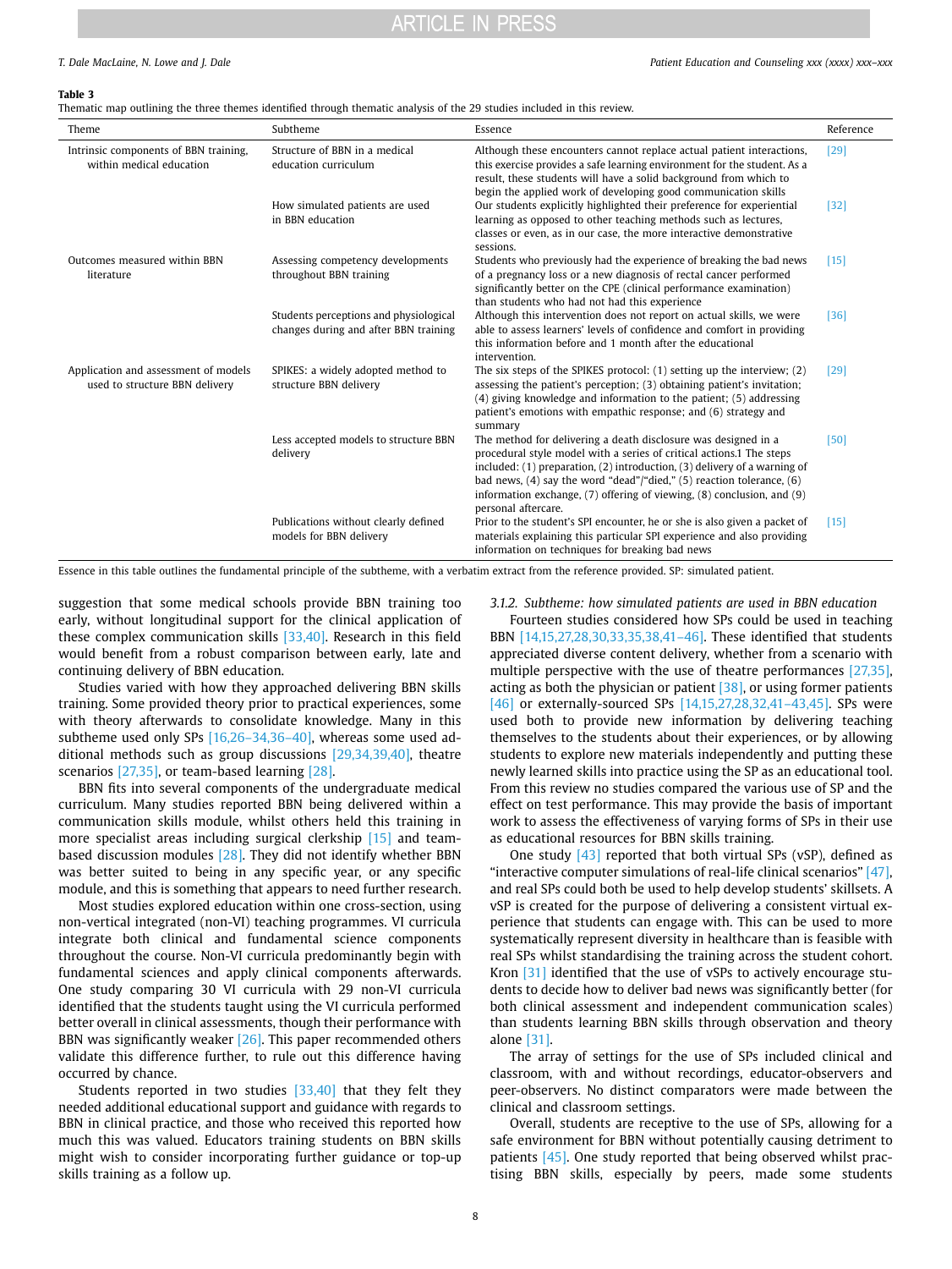#### <span id="page-7-0"></span>**Table 3**

Thematic map outlining the three themes identified through thematic analysis of the 29 studies included in this review.

| Theme                                                                  | Subtheme                                                                        | Essence                                                                                                                                                                                                                                                                                                                                                                                             | Reference |
|------------------------------------------------------------------------|---------------------------------------------------------------------------------|-----------------------------------------------------------------------------------------------------------------------------------------------------------------------------------------------------------------------------------------------------------------------------------------------------------------------------------------------------------------------------------------------------|-----------|
| Intrinsic components of BBN training,<br>within medical education      | Structure of BBN in a medical<br>education curriculum                           | Although these encounters cannot replace actual patient interactions,<br>this exercise provides a safe learning environment for the student. As a<br>result, these students will have a solid background from which to                                                                                                                                                                              | [29]      |
|                                                                        | How simulated patients are used<br>in BBN education                             | begin the applied work of developing good communication skills<br>Our students explicitly highlighted their preference for experiential<br>learning as opposed to other teaching methods such as lectures,<br>classes or even, as in our case, the more interactive demonstrative<br>sessions.                                                                                                      | $[32]$    |
| Outcomes measured within BBN<br>literature                             | Assessing competency developments<br>throughout BBN training                    | Students who previously had the experience of breaking the bad news<br>of a pregnancy loss or a new diagnosis of rectal cancer performed<br>significantly better on the CPE (clinical performance examination)<br>than students who had not had this experience                                                                                                                                     | $[15]$    |
|                                                                        | Students perceptions and physiological<br>changes during and after BBN training | Although this intervention does not report on actual skills, we were<br>able to assess learners' levels of confidence and comfort in providing<br>this information before and 1 month after the educational<br>intervention.                                                                                                                                                                        | $[36]$    |
| Application and assessment of models<br>used to structure BBN delivery | SPIKES: a widely adopted method to<br>structure BBN delivery                    | The six steps of the SPIKES protocol: (1) setting up the interview; (2)<br>assessing the patient's perception; (3) obtaining patient's invitation;<br>(4) giving knowledge and information to the patient; (5) addressing<br>patient's emotions with empathic response; and (6) strategy and<br>summary                                                                                             | [29]      |
|                                                                        | Less accepted models to structure BBN<br>delivery                               | The method for delivering a death disclosure was designed in a<br>procedural style model with a series of critical actions.1 The steps<br>included: (1) preparation, (2) introduction, (3) delivery of a warning of<br>bad news, $(4)$ say the word "dead"/"died," $(5)$ reaction tolerance, $(6)$<br>information exchange, (7) offering of viewing, (8) conclusion, and (9)<br>personal aftercare. | [50]      |
|                                                                        | Publications without clearly defined<br>models for BBN delivery                 | Prior to the student's SPI encounter, he or she is also given a packet of<br>materials explaining this particular SPI experience and also providing<br>information on techniques for breaking bad news                                                                                                                                                                                              | $[15]$    |

Essence in this table outlines the fundamental principle of the subtheme, with a verbatim extract from the reference provided. SP: simulated patient.

suggestion that some medical schools provide BBN training too early, without longitudinal support for the clinical application of these complex communication skills [\[33,40\].](#page-10-20) Research in this field would benefit from a robust comparison between early, late and continuing delivery of BBN education.

Studies varied with how they approached delivering BBN skills training. Some provided theory prior to practical experiences, some with theory afterwards to consolidate knowledge. Many in this subtheme used only SPs [\[16,26–34,36–40\]](#page-10-11), whereas some used additional methods such as group discussions [\[29,34,39,40\]](#page-10-21), theatre scenarios [\[27,35\]](#page-10-19), or team-based learning [\[28\]](#page-10-22).

BBN fits into several components of the undergraduate medical curriculum. Many studies reported BBN being delivered within a communication skills module, whilst others held this training in more specialist areas including surgical clerkship [\[15\]](#page-10-13) and teambased discussion modules  $[28]$ . They did not identify whether BBN was better suited to being in any specific year, or any specific module, and this is something that appears to need further research.

Most studies explored education within one cross-section, using non-vertical integrated (non-VI) teaching programmes. VI curricula integrate both clinical and fundamental science components throughout the course. Non-VI curricula predominantly begin with fundamental sciences and apply clinical components afterwards. One study comparing 30 VI curricula with 29 non-VI curricula identified that the students taught using the VI curricula performed better overall in clinical assessments, though their performance with BBN was significantly weaker [\[26\].](#page-10-23) This paper recommended others validate this difference further, to rule out this difference having occurred by chance.

Students reported in two studies  $[33,40]$  that they felt they needed additional educational support and guidance with regards to BBN in clinical practice, and those who received this reported how much this was valued. Educators training students on BBN skills might wish to consider incorporating further guidance or top-up skills training as a follow up.

*3.1.2. Subtheme: how simulated patients are used in BBN education* 

Fourteen studies considered how SPs could be used in teaching BBN [\[14,15,27,28,30,33,35,38,41–46\]](#page-10-10). These identified that students appreciated diverse content delivery, whether from a scenario with multiple perspective with the use of theatre performances [\[27,35\],](#page-10-19) acting as both the physician or patient  $[38]$ , or using former patients [\[46\]](#page-11-1) or externally-sourced SPs [14,15,27,28,32,41-43,45]. SPs were used both to provide new information by delivering teaching themselves to the students about their experiences, or by allowing students to explore new materials independently and putting these newly learned skills into practice using the SP as an educational tool. From this review no studies compared the various use of SP and the effect on test performance. This may provide the basis of important work to assess the effectiveness of varying forms of SPs in their use as educational resources for BBN skills training.

One study [\[43\]](#page-11-2) reported that both virtual SPs (vSP), defined as "interactive computer simulations of real-life clinical scenarios" [\[47\],](#page-11-3) and real SPs could both be used to help develop students' skillsets. A vSP is created for the purpose of delivering a consistent virtual experience that students can engage with. This can be used to more systematically represent diversity in healthcare than is feasible with real SPs whilst standardising the training across the student cohort. Kron [\[31\]](#page-10-24) identified that the use of vSPs to actively encourage students to decide how to deliver bad news was significantly better (for both clinical assessment and independent communication scales) than students learning BBN skills through observation and theory alone [\[31\]](#page-10-24).

The array of settings for the use of SPs included clinical and classroom, with and without recordings, educator-observers and peer-observers. No distinct comparators were made between the clinical and classroom settings.

Overall, students are receptive to the use of SPs, allowing for a safe environment for BBN without potentially causing detriment to patients [\[45\].](#page-11-4) One study reported that being observed whilst practising BBN skills, especially by peers, made some students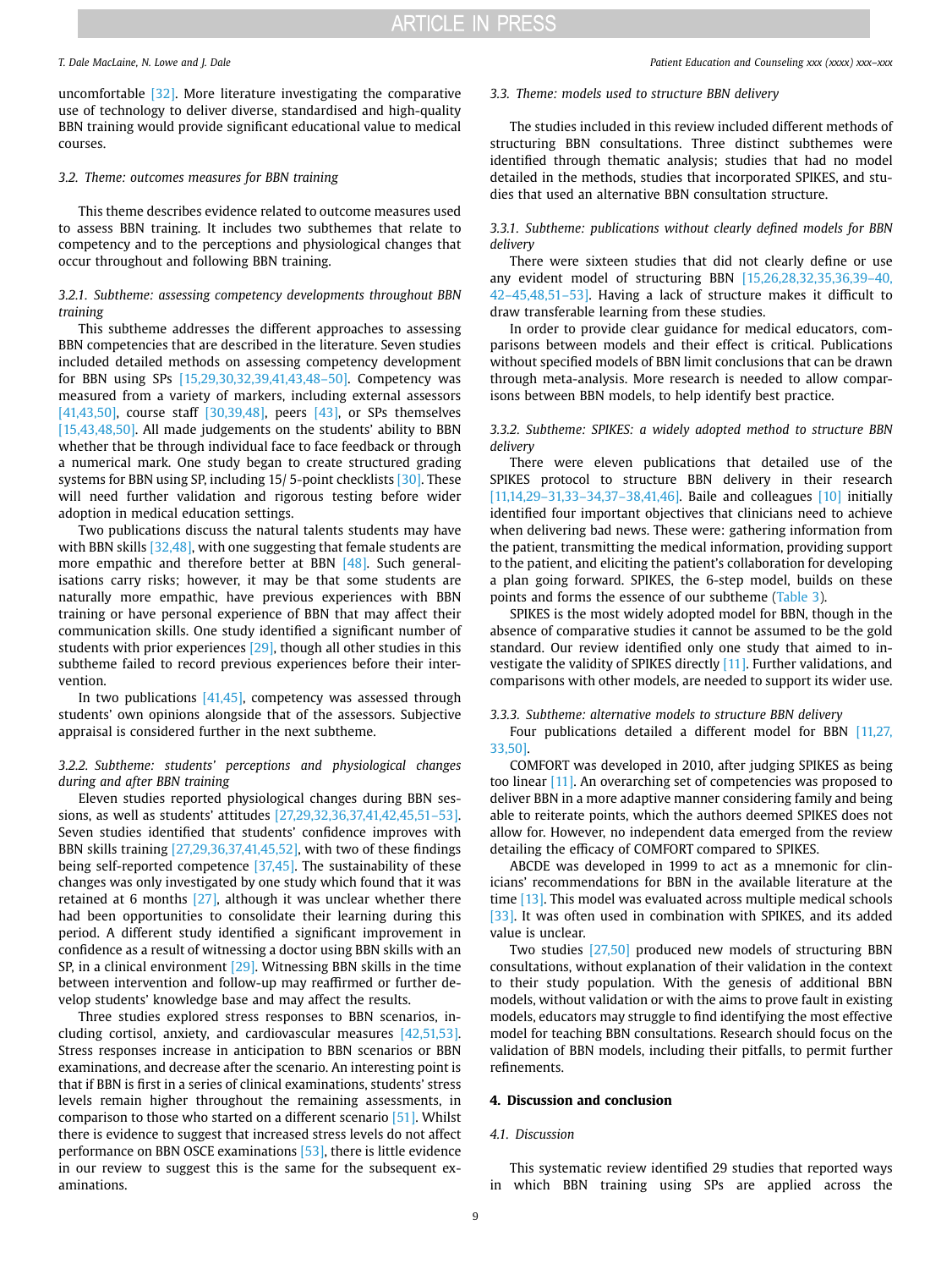uncomfortable [\[32\].](#page-10-25) More literature investigating the comparative use of technology to deliver diverse, standardised and high-quality BBN training would provide significant educational value to medical courses.

### *3.2. Theme: outcomes measures for BBN training*

This theme describes evidence related to outcome measures used to assess BBN training. It includes two subthemes that relate to competency and to the perceptions and physiological changes that occur throughout and following BBN training.

### *3.2.1. Subtheme: assessing competency developments throughout BBN training*

This subtheme addresses the different approaches to assessing BBN competencies that are described in the literature. Seven studies included detailed methods on assessing competency development for BBN using SPs [\[15,29,30,32,39,41,43,48–50\].](#page-10-13) Competency was measured from a variety of markers, including external assessors [\[41,43,50\],](#page-11-6) course staff [\[30,39,48\],](#page-10-27) peers [\[43\],](#page-11-2) or SPs themselves [\[15,43,48,50\].](#page-10-13) All made judgements on the students' ability to BBN whether that be through individual face to face feedback or through a numerical mark. One study began to create structured grading systems for BBN using SP, including 15/5-point checklists [\[30\].](#page-10-27) These will need further validation and rigorous testing before wider adoption in medical education settings.

Two publications discuss the natural talents students may have with BBN skills [\[32,48\]](#page-10-25), with one suggesting that female students are more empathic and therefore better at BBN [\[48\].](#page-11-7) Such generalisations carry risks; however, it may be that some students are naturally more empathic, have previous experiences with BBN training or have personal experience of BBN that may affect their communication skills. One study identified a significant number of students with prior experiences [\[29\]](#page-10-21), though all other studies in this subtheme failed to record previous experiences before their intervention.

In two publications  $[41,45]$ , competency was assessed through students' own opinions alongside that of the assessors. Subjective appraisal is considered further in the next subtheme.

### *3.2.2. Subtheme: students' perceptions and physiological changes during and after BBN training*

Eleven studies reported physiological changes during BBN sessions, as well as students' attitudes [\[27,29,32,36,37,41,42,45,51–53\].](#page-10-19) Seven studies identified that students' confidence improves with BBN skills training [\[27,29,36,37,41,45,52\]](#page-10-19), with two of these findings being self-reported competence [\[37,45\]](#page-10-28). The sustainability of these changes was only investigated by one study which found that it was retained at 6 months  $[27]$ , although it was unclear whether there had been opportunities to consolidate their learning during this period. A different study identified a significant improvement in confidence as a result of witnessing a doctor using BBN skills with an SP, in a clinical environment [\[29\].](#page-10-21) Witnessing BBN skills in the time between intervention and follow-up may reaffirmed or further develop students' knowledge base and may affect the results.

Three studies explored stress responses to BBN scenarios, including cortisol, anxiety, and cardiovascular measures [\[42,51,53\].](#page-11-8) Stress responses increase in anticipation to BBN scenarios or BBN examinations, and decrease after the scenario. An interesting point is that if BBN is first in a series of clinical examinations, students' stress levels remain higher throughout the remaining assessments, in comparison to those who started on a different scenario [\[51\]](#page-11-9). Whilst there is evidence to suggest that increased stress levels do not affect performance on BBN OSCE examinations [\[53\]](#page-11-10), there is little evidence in our review to suggest this is the same for the subsequent examinations.

#### *T. Dale MacLaine, N. Lowe and J. Dale Patient Education and Counseling xxx (xxxx) xxx–xxx*

#### *3.3. Theme: models used to structure BBN delivery*

The studies included in this review included different methods of structuring BBN consultations. Three distinct subthemes were identified through thematic analysis; studies that had no model detailed in the methods, studies that incorporated SPIKES, and studies that used an alternative BBN consultation structure.

### *3.3.1. Subtheme: publications without clearly defined models for BBN delivery*

There were sixteen studies that did not clearly define or use any evident model of structuring BBN [\[15,26,28,32,35,36,39–40,](#page-10-13)  [42–45,48,51–53\]](#page-10-13). Having a lack of structure makes it difficult to draw transferable learning from these studies.

In order to provide clear guidance for medical educators, comparisons between models and their effect is critical. Publications without specified models of BBN limit conclusions that can be drawn through meta-analysis. More research is needed to allow comparisons between BBN models, to help identify best practice.

### *3.3.2. Subtheme: SPIKES: a widely adopted method to structure BBN delivery*

There were eleven publications that detailed use of the SPIKES protocol to structure BBN delivery in their research [11,14,29-31,33-34,37-38,41,46]. Baile and colleagues [\[10\]](#page-10-9) initially identified four important objectives that clinicians need to achieve when delivering bad news. These were: gathering information from the patient, transmitting the medical information, providing support to the patient, and eliciting the patient's collaboration for developing a plan going forward. SPIKES, the 6-step model, builds on these points and forms the essence of our subtheme [\(Table 3\)](#page-7-0).

SPIKES is the most widely adopted model for BBN, though in the absence of comparative studies it cannot be assumed to be the gold standard. Our review identified only one study that aimed to investigate the validity of SPIKES directly [\[11\].](#page-10-29) Further validations, and comparisons with other models, are needed to support its wider use.

*3.3.3. Subtheme: alternative models to structure BBN delivery* 

Four publications detailed a different model for BBN [11,27, [33,50\].](#page-10-29)

COMFORT was developed in 2010, after judging SPIKES as being too linear [\[11\].](#page-10-29) An overarching set of competencies was proposed to deliver BBN in a more adaptive manner considering family and being able to reiterate points, which the authors deemed SPIKES does not allow for. However, no independent data emerged from the review detailing the efficacy of COMFORT compared to SPIKES.

ABCDE was developed in 1999 to act as a mnemonic for clinicians' recommendations for BBN in the available literature at the time [\[13\]](#page-10-30). This model was evaluated across multiple medical schools [\[33\].](#page-10-20) It was often used in combination with SPIKES, and its added value is unclear.

Two studies [\[27,50\]](#page-10-19) produced new models of structuring BBN consultations, without explanation of their validation in the context to their study population. With the genesis of additional BBN models, without validation or with the aims to prove fault in existing models, educators may struggle to find identifying the most effective model for teaching BBN consultations. Research should focus on the validation of BBN models, including their pitfalls, to permit further refinements.

#### **4. Discussion and conclusion**

#### *4.1. Discussion*

This systematic review identified 29 studies that reported ways in which BBN training using SPs are applied across the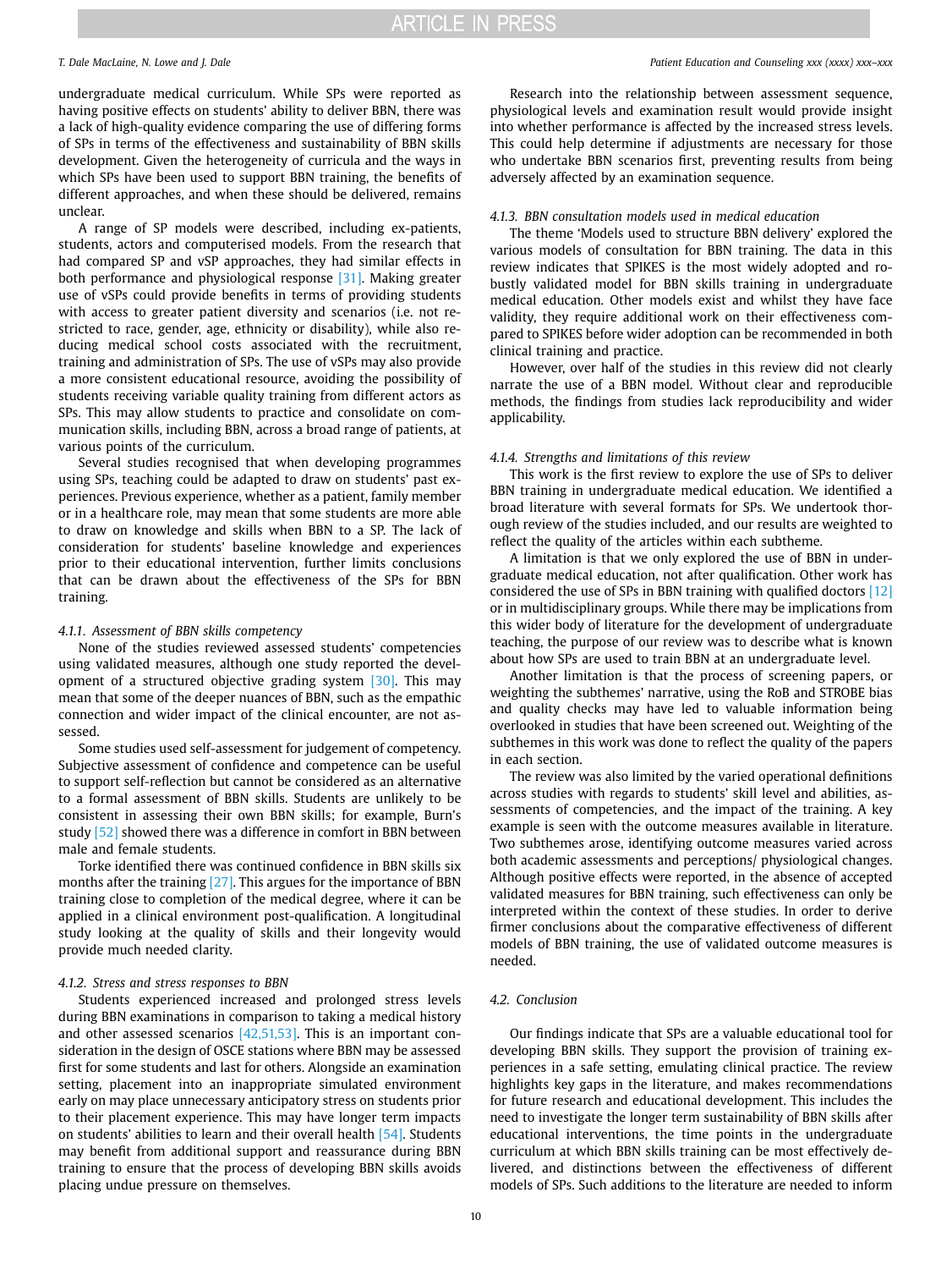undergraduate medical curriculum. While SPs were reported as having positive effects on students' ability to deliver BBN, there was a lack of high-quality evidence comparing the use of differing forms of SPs in terms of the effectiveness and sustainability of BBN skills development. Given the heterogeneity of curricula and the ways in which SPs have been used to support BBN training, the benefits of different approaches, and when these should be delivered, remains unclear.

A range of SP models were described, including ex-patients, students, actors and computerised models. From the research that had compared SP and vSP approaches, they had similar effects in both performance and physiological response [\[31\]](#page-10-24). Making greater use of vSPs could provide benefits in terms of providing students with access to greater patient diversity and scenarios (i.e. not restricted to race, gender, age, ethnicity or disability), while also reducing medical school costs associated with the recruitment, training and administration of SPs. The use of vSPs may also provide a more consistent educational resource, avoiding the possibility of students receiving variable quality training from different actors as SPs. This may allow students to practice and consolidate on communication skills, including BBN, across a broad range of patients, at various points of the curriculum.

Several studies recognised that when developing programmes using SPs, teaching could be adapted to draw on students' past experiences. Previous experience, whether as a patient, family member or in a healthcare role, may mean that some students are more able to draw on knowledge and skills when BBN to a SP. The lack of consideration for students' baseline knowledge and experiences prior to their educational intervention, further limits conclusions that can be drawn about the effectiveness of the SPs for BBN training.

#### *4.1.1. Assessment of BBN skills competency*

None of the studies reviewed assessed students' competencies using validated measures, although one study reported the development of a structured objective grading system [\[30\]](#page-10-27). This may mean that some of the deeper nuances of BBN, such as the empathic connection and wider impact of the clinical encounter, are not assessed.

Some studies used self-assessment for judgement of competency. Subjective assessment of confidence and competence can be useful to support self-reflection but cannot be considered as an alternative to a formal assessment of BBN skills. Students are unlikely to be consistent in assessing their own BBN skills; for example, Burn's study [\[52\]](#page-11-11) showed there was a difference in comfort in BBN between male and female students.

Torke identified there was continued confidence in BBN skills six months after the training [\[27\].](#page-10-19) This argues for the importance of BBN training close to completion of the medical degree, where it can be applied in a clinical environment post-qualification. A longitudinal study looking at the quality of skills and their longevity would provide much needed clarity.

#### *4.1.2. Stress and stress responses to BBN*

Students experienced increased and prolonged stress levels during BBN examinations in comparison to taking a medical history and other assessed scenarios [\[42,51,53\].](#page-11-8) This is an important consideration in the design of OSCE stations where BBN may be assessed first for some students and last for others. Alongside an examination setting, placement into an inappropriate simulated environment early on may place unnecessary anticipatory stress on students prior to their placement experience. This may have longer term impacts on students' abilities to learn and their overall health  $[54]$ . Students may benefit from additional support and reassurance during BBN training to ensure that the process of developing BBN skills avoids placing undue pressure on themselves.

#### *T. Dale MacLaine, N. Lowe and J. Dale Patient Education and Counseling xxx (xxxx) xxx–xxx*

Research into the relationship between assessment sequence, physiological levels and examination result would provide insight into whether performance is affected by the increased stress levels. This could help determine if adjustments are necessary for those who undertake BBN scenarios first, preventing results from being adversely affected by an examination sequence.

#### *4.1.3. BBN consultation models used in medical education*

The theme 'Models used to structure BBN delivery' explored the various models of consultation for BBN training. The data in this review indicates that SPIKES is the most widely adopted and robustly validated model for BBN skills training in undergraduate medical education. Other models exist and whilst they have face validity, they require additional work on their effectiveness compared to SPIKES before wider adoption can be recommended in both clinical training and practice.

However, over half of the studies in this review did not clearly narrate the use of a BBN model. Without clear and reproducible methods, the findings from studies lack reproducibility and wider applicability.

### *4.1.4. Strengths and limitations of this review*

This work is the first review to explore the use of SPs to deliver BBN training in undergraduate medical education. We identified a broad literature with several formats for SPs. We undertook thorough review of the studies included, and our results are weighted to reflect the quality of the articles within each subtheme.

A limitation is that we only explored the use of BBN in undergraduate medical education, not after qualification. Other work has considered the use of SPs in BBN training with qualified doctors [\[12\]](#page-10-31)  or in multidisciplinary groups. While there may be implications from this wider body of literature for the development of undergraduate teaching, the purpose of our review was to describe what is known about how SPs are used to train BBN at an undergraduate level.

Another limitation is that the process of screening papers, or weighting the subthemes' narrative, using the RoB and STROBE bias and quality checks may have led to valuable information being overlooked in studies that have been screened out. Weighting of the subthemes in this work was done to reflect the quality of the papers in each section.

The review was also limited by the varied operational definitions across studies with regards to students' skill level and abilities, assessments of competencies, and the impact of the training. A key example is seen with the outcome measures available in literature. Two subthemes arose, identifying outcome measures varied across both academic assessments and perceptions/ physiological changes. Although positive effects were reported, in the absence of accepted validated measures for BBN training, such effectiveness can only be interpreted within the context of these studies. In order to derive firmer conclusions about the comparative effectiveness of different models of BBN training, the use of validated outcome measures is needed.

#### *4.2. Conclusion*

Our findings indicate that SPs are a valuable educational tool for developing BBN skills. They support the provision of training experiences in a safe setting, emulating clinical practice. The review highlights key gaps in the literature, and makes recommendations for future research and educational development. This includes the need to investigate the longer term sustainability of BBN skills after educational interventions, the time points in the undergraduate curriculum at which BBN skills training can be most effectively delivered, and distinctions between the effectiveness of different models of SPs. Such additions to the literature are needed to inform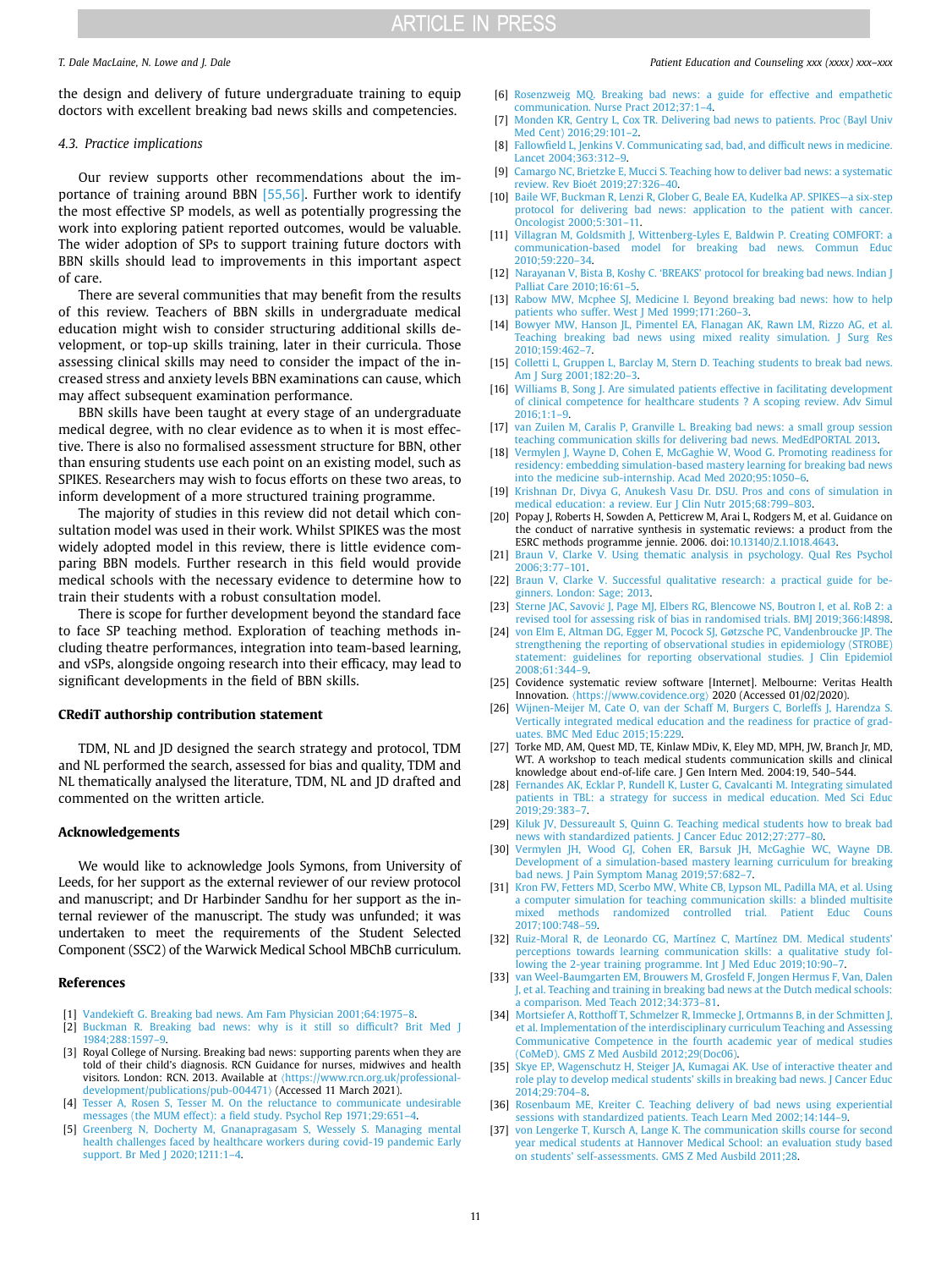the design and delivery of future undergraduate training to equip doctors with excellent breaking bad news skills and competencies.

#### *4.3. Practice implications*

Our review supports other recommendations about the importance of training around BBN [\[55,56\].](#page-11-13) Further work to identify the most effective SP models, as well as potentially progressing the work into exploring patient reported outcomes, would be valuable. The wider adoption of SPs to support training future doctors with BBN skills should lead to improvements in this important aspect of care.

There are several communities that may benefit from the results of this review. Teachers of BBN skills in undergraduate medical education might wish to consider structuring additional skills development, or top-up skills training, later in their curricula. Those assessing clinical skills may need to consider the impact of the increased stress and anxiety levels BBN examinations can cause, which may affect subsequent examination performance.

BBN skills have been taught at every stage of an undergraduate medical degree, with no clear evidence as to when it is most effective. There is also no formalised assessment structure for BBN, other than ensuring students use each point on an existing model, such as SPIKES. Researchers may wish to focus efforts on these two areas, to inform development of a more structured training programme.

The majority of studies in this review did not detail which consultation model was used in their work. Whilst SPIKES was the most widely adopted model in this review, there is little evidence comparing BBN models. Further research in this field would provide medical schools with the necessary evidence to determine how to train their students with a robust consultation model.

There is scope for further development beyond the standard face to face SP teaching method. Exploration of teaching methods including theatre performances, integration into team-based learning, and vSPs, alongside ongoing research into their efficacy, may lead to significant developments in the field of BBN skills.

#### **CRediT authorship contribution statement**

TDM, NL and JD designed the search strategy and protocol, TDM and NL performed the search, assessed for bias and quality, TDM and NL thematically analysed the literature, TDM, NL and JD drafted and commented on the written article.

#### **Acknowledgements**

We would like to acknowledge Jools Symons, from University of Leeds, for her support as the external reviewer of our review protocol and manuscript; and Dr Harbinder Sandhu for her support as the internal reviewer of the manuscript. The study was unfunded; it was undertaken to meet the requirements of the Student Selected Component (SSC2) of the Warwick Medical School MBChB curriculum.

#### **References**

- <span id="page-10-0"></span>[1] [Vandekieft G. Breaking bad news. Am Fam Physician 2001;64:1975–8.](http://refhub.elsevier.com/S0738-3991(21)00241-X/sbref1)
- <span id="page-10-1"></span>[2] [Buckman R. Breaking bad news: why is it still so difficult? Brit Med J](http://refhub.elsevier.com/S0738-3991(21)00241-X/sbref2)  [1984;288:1597–9.](http://refhub.elsevier.com/S0738-3991(21)00241-X/sbref2)
- <span id="page-10-2"></span>[3] Royal College of Nursing. Breaking bad news: supporting parents when they are told of their child's diagnosis. RCN Guidance for nurses, midwives and health visitors. London: RCN. 2013. Available at  $\frac{\hbar}{\hbar}$ : //www.rcn.org.uk/professional[development/publications/pub-004471](https://www.rcn.org.uk/professional-development/publications/pub-004471)〉 (Accessed 11 March 2021).
- <span id="page-10-3"></span>[4] Tesser A, Rosen S, Tesser M. On the reluctance to communicate undesirable [messages \(the MUM effect\): a field study. Psychol Rep 1971;29:651–4.](http://refhub.elsevier.com/S0738-3991(21)00241-X/sbref3)
- <span id="page-10-4"></span>[5] [Greenberg N, Docherty M, Gnanapragasam S, Wessely S. Managing mental](http://refhub.elsevier.com/S0738-3991(21)00241-X/sbref4)  [health challenges faced by healthcare workers during covid-19 pandemic Early](http://refhub.elsevier.com/S0738-3991(21)00241-X/sbref4)  support. Br Med J 2020;1211:1-4.

#### *T. Dale MacLaine, N. Lowe and J. Dale Patient Education and Counseling xxx (xxxx) xxx–xxx*

- <span id="page-10-5"></span>[6] [Rosenzweig MQ. Breaking bad news: a guide for effective and empathetic](http://refhub.elsevier.com/S0738-3991(21)00241-X/sbref5)  [communication. Nurse Pract 2012;37:1–4.](http://refhub.elsevier.com/S0738-3991(21)00241-X/sbref5)
- <span id="page-10-6"></span>[7] [Monden KR, Gentry L, Cox TR. Delivering bad news to patients. Proc \(Bayl Univ](http://refhub.elsevier.com/S0738-3991(21)00241-X/sbref6)  [Med Cent\) 2016;29:101–2.](http://refhub.elsevier.com/S0738-3991(21)00241-X/sbref6)
- <span id="page-10-7"></span>[8] [Fallowfield L, Jenkins V. Communicating sad, bad, and difficult news in medicine.](http://refhub.elsevier.com/S0738-3991(21)00241-X/sbref7)  [Lancet 2004;363:312–9.](http://refhub.elsevier.com/S0738-3991(21)00241-X/sbref7)
- <span id="page-10-8"></span>[9] [Camargo NC, Brietzke E, Mucci S. Teaching how to deliver bad news: a systematic](http://refhub.elsevier.com/S0738-3991(21)00241-X/sbref8)  [review. Rev Bioet](http://refhub.elsevier.com/S0738-3991(21)00241-X/sbref8) ́ 2019;27:326–40.
- <span id="page-10-9"></span>[10] [Baile WF, Buckman R, Lenzi R, Glober G, Beale EA, Kudelka AP. SPIKES—a six](http://refhub.elsevier.com/S0738-3991(21)00241-X/sbref9)‐step [protocol for delivering bad news: application to the patient with cancer.](http://refhub.elsevier.com/S0738-3991(21)00241-X/sbref9)  [Oncologist 2000;5:301–11.](http://refhub.elsevier.com/S0738-3991(21)00241-X/sbref9)
- <span id="page-10-29"></span>[11] [Villagran M, Goldsmith J, Wittenberg-Lyles E, Baldwin P. Creating COMFORT: a](http://refhub.elsevier.com/S0738-3991(21)00241-X/sbref10)  [communication-based model for breaking bad news. Commun Educ](http://refhub.elsevier.com/S0738-3991(21)00241-X/sbref10)  [2010;59:220–34.](http://refhub.elsevier.com/S0738-3991(21)00241-X/sbref10)
- <span id="page-10-31"></span>[12] [Narayanan V, Bista B, Koshy C. 'BREAKS' protocol for breaking bad news. Indian J](http://refhub.elsevier.com/S0738-3991(21)00241-X/sbref11)  [Palliat Care 2010;16:61–5.](http://refhub.elsevier.com/S0738-3991(21)00241-X/sbref11)
- <span id="page-10-30"></span>[13] Rabow MW, Mcphee SJ, Medicine I. Beyond breaking bad news: how to help [patients who suffer. West J Med 1999;171:260–3.](http://refhub.elsevier.com/S0738-3991(21)00241-X/sbref12)
- <span id="page-10-10"></span>[14] [Bowyer MW, Hanson JL, Pimentel EA, Flanagan AK, Rawn LM, Rizzo AG, et al.](http://refhub.elsevier.com/S0738-3991(21)00241-X/sbref13)  [Teaching breaking bad news using mixed reality simulation. J Surg Res](http://refhub.elsevier.com/S0738-3991(21)00241-X/sbref13)  [2010;159:462–7.](http://refhub.elsevier.com/S0738-3991(21)00241-X/sbref13)
- <span id="page-10-13"></span>[15] Colletti L, Gruppen L, Barclay M, Stern D. Teaching students to break bad news. [Am J Surg 2001;182:20–3.](http://refhub.elsevier.com/S0738-3991(21)00241-X/sbref14)
- <span id="page-10-11"></span>[16] [Williams B, Song J. Are simulated patients effective in facilitating development](http://refhub.elsevier.com/S0738-3991(21)00241-X/sbref15)  [of clinical competence for healthcare students ? A scoping review. Adv Simul](http://refhub.elsevier.com/S0738-3991(21)00241-X/sbref15)  [2016;1:1–9.](http://refhub.elsevier.com/S0738-3991(21)00241-X/sbref15)
- <span id="page-10-12"></span>[17] [van Zuilen M, Caralis P, Granville L. Breaking bad news: a small group session](http://refhub.elsevier.com/S0738-3991(21)00241-X/sbref16)  [teaching communication skills for delivering bad news. MedEdPORTAL 2013.](http://refhub.elsevier.com/S0738-3991(21)00241-X/sbref16)
- [18] Vermylen J, Wayne D, Cohen E, McGaghie W, Wood G. Promoting readiness for [residency: embedding simulation-based mastery learning for breaking bad news](http://refhub.elsevier.com/S0738-3991(21)00241-X/sbref17)  [into the medicine sub-internship. Acad Med 2020;95:1050–6.](http://refhub.elsevier.com/S0738-3991(21)00241-X/sbref17)
- <span id="page-10-14"></span>[19] Krishnan Dr, Divya G, Anukesh Vasu Dr, DSU. Pros and cons of simulation in [medical education: a review. Eur J Clin Nutr 2015;68:799–803.](http://refhub.elsevier.com/S0738-3991(21)00241-X/sbref18)
- <span id="page-10-15"></span>[20] Popay J, Roberts H, Sowden A, Petticrew M, Arai L, Rodgers M, et al. Guidance on the conduct of narrative synthesis in systematic reviews: a product from the ESRC methods programme jennie. 2006. doi[:10.13140/2.1.1018.4643](http://10.13140/2.1.1018.4643).
- [21] Braun V, Clarke V. Using thematic analysis in psychology. Qual Res Psychol [2006;3:77–101.](http://refhub.elsevier.com/S0738-3991(21)00241-X/sbref19)
- [22] [Braun V, Clarke V. Successful qualitative research: a practical guide for be](http://refhub.elsevier.com/S0738-3991(21)00241-X/sbref20)[ginners. London: Sage; 2013.](http://refhub.elsevier.com/S0738-3991(21)00241-X/sbref20)
- <span id="page-10-16"></span>[23] Sterne JAC, Savović [J, Page MJ, Elbers RG, Blencowe NS, Boutron I, et al. RoB 2: a](http://refhub.elsevier.com/S0738-3991(21)00241-X/sbref21)  [revised tool for assessing risk of bias in randomised trials. BMJ 2019;366:l4898.](http://refhub.elsevier.com/S0738-3991(21)00241-X/sbref21)
- <span id="page-10-17"></span>[24] [von Elm E, Altman DG, Egger M, Pocock SJ, Gøtzsche PC, Vandenbroucke JP. The](http://refhub.elsevier.com/S0738-3991(21)00241-X/sbref22)  [strengthening the reporting of observational studies in epidemiology \(STROBE\)](http://refhub.elsevier.com/S0738-3991(21)00241-X/sbref22)  [statement: guidelines for reporting observational studies. J Clin Epidemiol](http://refhub.elsevier.com/S0738-3991(21)00241-X/sbref22)  [2008;61:344–9.](http://refhub.elsevier.com/S0738-3991(21)00241-X/sbref22)
- <span id="page-10-18"></span>[25] Covidence systematic review software [Internet]. Melbourne: Veritas Health Innovation. 〈<https://www.covidence.org>〉 2020 (Accessed 01/02/2020).
- <span id="page-10-23"></span>[26] [Wijnen-Meijer M, Cate O, van der Schaff M, Burgers C, Borleffs J, Harendza S.](http://refhub.elsevier.com/S0738-3991(21)00241-X/sbref23)  [Vertically integrated medical education and the readiness for practice of grad](http://refhub.elsevier.com/S0738-3991(21)00241-X/sbref23)[uates. BMC Med Educ 2015;15:229.](http://refhub.elsevier.com/S0738-3991(21)00241-X/sbref23)
- <span id="page-10-19"></span>[27] Torke MD, AM, Quest MD, TE, Kinlaw MDiv, K, Eley MD, MPH, JW, Branch Jr, MD, WT. A workshop to teach medical students communication skills and clinical knowledge about end-of-life care. J Gen Intern Med. 2004:19, 540–544.
- <span id="page-10-22"></span>[28] [Fernandes AK, Ecklar P, Rundell K, Luster G, Cavalcanti M. Integrating simulated](http://refhub.elsevier.com/S0738-3991(21)00241-X/sbref24)  [patients in TBL: a strategy for success in medical education. Med Sci Educ](http://refhub.elsevier.com/S0738-3991(21)00241-X/sbref24)  [2019;29:383–7.](http://refhub.elsevier.com/S0738-3991(21)00241-X/sbref24)
- <span id="page-10-21"></span>[29] [Kiluk JV, Dessureault S, Quinn G. Teaching medical students how to break bad](http://refhub.elsevier.com/S0738-3991(21)00241-X/sbref25)  [news with standardized patients. J Cancer Educ 2012;27:277–80.](http://refhub.elsevier.com/S0738-3991(21)00241-X/sbref25)
- <span id="page-10-27"></span>[30] Vermylen JH, Wood GJ, Cohen ER, Barsuk JH, McGaghie WC, Wayne DB. [Development of a simulation-based mastery learning curriculum for breaking](http://refhub.elsevier.com/S0738-3991(21)00241-X/sbref26)  [bad news. J Pain Symptom Manag 2019;57:682–7.](http://refhub.elsevier.com/S0738-3991(21)00241-X/sbref26)
- <span id="page-10-24"></span>[31] [Kron FW, Fetters MD, Scerbo MW, White CB, Lypson ML, Padilla MA, et al. Using](http://refhub.elsevier.com/S0738-3991(21)00241-X/sbref27)  [a computer simulation for teaching communication skills: a blinded multisite](http://refhub.elsevier.com/S0738-3991(21)00241-X/sbref27)  methods randomized controlled trial. Patient Educ [2017;100:748–59.](http://refhub.elsevier.com/S0738-3991(21)00241-X/sbref27)
- <span id="page-10-25"></span>[32] [Ruiz-Moral R, de Leonardo CG, Martínez C, Martínez DM. Medical students'](http://refhub.elsevier.com/S0738-3991(21)00241-X/sbref28)  [perceptions towards learning communication skills: a qualitative study fol](http://refhub.elsevier.com/S0738-3991(21)00241-X/sbref28)[lowing the 2-year training programme. Int J Med Educ 2019;10:90–7.](http://refhub.elsevier.com/S0738-3991(21)00241-X/sbref28)
- <span id="page-10-20"></span>[33] [van Weel-Baumgarten EM, Brouwers M, Grosfeld F, Jongen Hermus F, Van, Dalen](http://refhub.elsevier.com/S0738-3991(21)00241-X/sbref29)  [J, et al. Teaching and training in breaking bad news at the Dutch medical schools:](http://refhub.elsevier.com/S0738-3991(21)00241-X/sbref29)  [a comparison. Med Teach 2012;34:373–81.](http://refhub.elsevier.com/S0738-3991(21)00241-X/sbref29)
- [34] [Mortsiefer A, Rotthoff T, Schmelzer R, Immecke J, Ortmanns B, in der Schmitten J,](http://refhub.elsevier.com/S0738-3991(21)00241-X/sbref30)  [et al. Implementation of the interdisciplinary curriculum Teaching and Assessing](http://refhub.elsevier.com/S0738-3991(21)00241-X/sbref30)  [Communicative Competence in the fourth academic year of medical studies](http://refhub.elsevier.com/S0738-3991(21)00241-X/sbref30)  [\(CoMeD\). GMS Z Med Ausbild 2012;29\(Doc06\).](http://refhub.elsevier.com/S0738-3991(21)00241-X/sbref30)
- [35] Skye EP, Wagenschutz H, Steiger JA, Kumagai AK, Use of interactive theater and [role play to develop medical students' skills in breaking bad news. J Cancer Educ](http://refhub.elsevier.com/S0738-3991(21)00241-X/sbref31)  [2014;29:704–8.](http://refhub.elsevier.com/S0738-3991(21)00241-X/sbref31)
- <span id="page-10-26"></span>[36] Rosenbaum ME, Kreiter C. Teaching delivery of bad news using experiential [sessions with standardized patients. Teach Learn Med 2002;14:144–9.](http://refhub.elsevier.com/S0738-3991(21)00241-X/sbref32)
- <span id="page-10-28"></span>[37] [von Lengerke T, Kursch A, Lange K. The communication skills course for second](http://refhub.elsevier.com/S0738-3991(21)00241-X/sbref33)  [year medical students at Hannover Medical School: an evaluation study based](http://refhub.elsevier.com/S0738-3991(21)00241-X/sbref33)  [on students' self-assessments. GMS Z Med Ausbild 2011;28.](http://refhub.elsevier.com/S0738-3991(21)00241-X/sbref33)